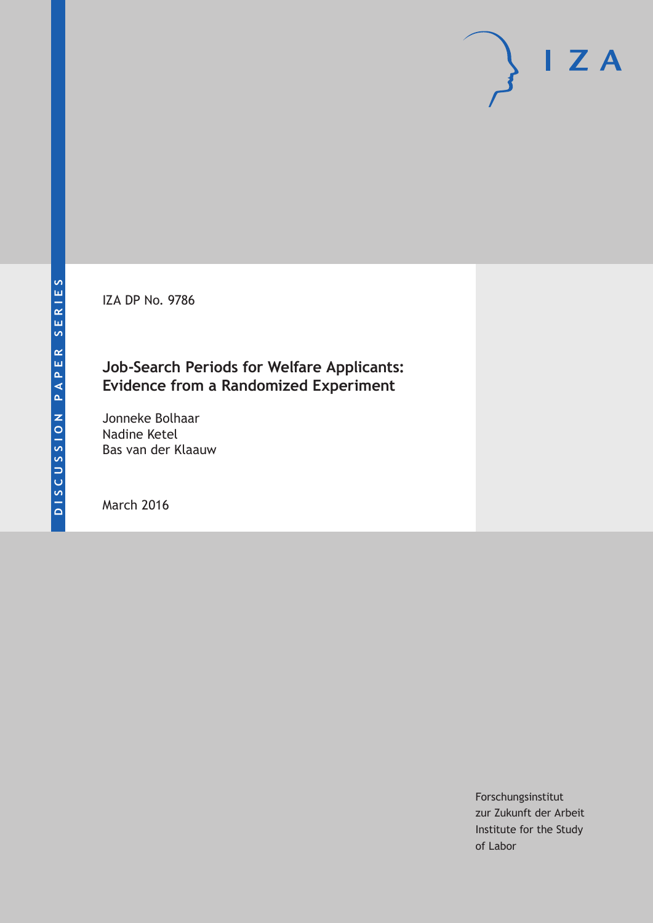IZA DP No. 9786

# **Job-Search Periods for Welfare Applicants: Evidence from a Randomized Experiment**

Jonneke Bolhaar Nadine Ketel Bas van der Klaauw

March 2016

Forschungsinstitut zur Zukunft der Arbeit Institute for the Study of Labor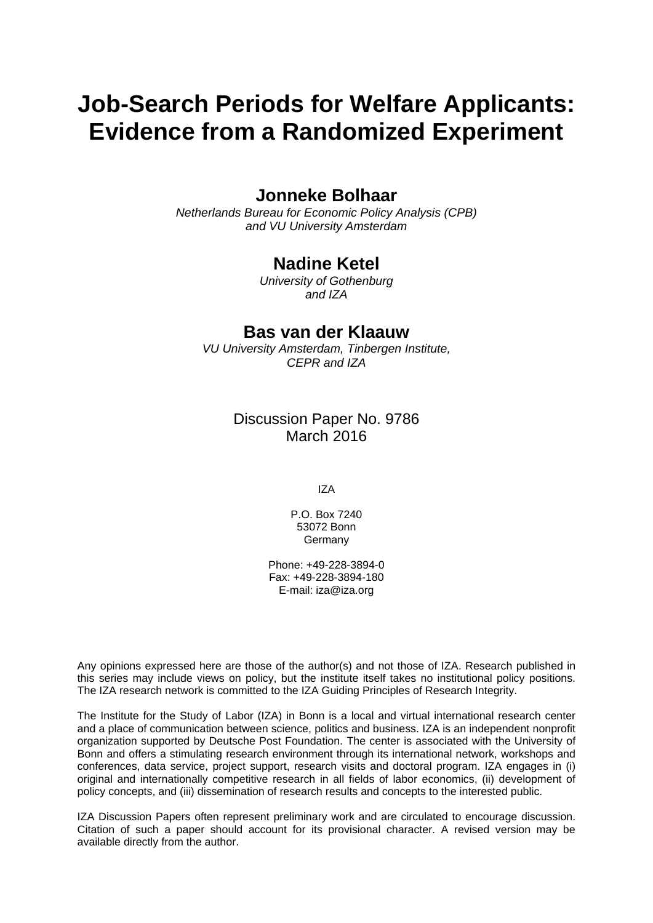# **Job-Search Periods for Welfare Applicants: Evidence from a Randomized Experiment**

### **Jonneke Bolhaar**

*Netherlands Bureau for Economic Policy Analysis (CPB) and VU University Amsterdam* 

### **Nadine Ketel**

*University of Gothenburg and IZA* 

### **Bas van der Klaauw**

*VU University Amsterdam, Tinbergen Institute, CEPR and IZA*

### Discussion Paper No. 9786 March 2016

IZA

P.O. Box 7240 53072 Bonn Germany

Phone: +49-228-3894-0 Fax: +49-228-3894-180 E-mail: iza@iza.org

Any opinions expressed here are those of the author(s) and not those of IZA. Research published in this series may include views on policy, but the institute itself takes no institutional policy positions. The IZA research network is committed to the IZA Guiding Principles of Research Integrity.

The Institute for the Study of Labor (IZA) in Bonn is a local and virtual international research center and a place of communication between science, politics and business. IZA is an independent nonprofit organization supported by Deutsche Post Foundation. The center is associated with the University of Bonn and offers a stimulating research environment through its international network, workshops and conferences, data service, project support, research visits and doctoral program. IZA engages in (i) original and internationally competitive research in all fields of labor economics, (ii) development of policy concepts, and (iii) dissemination of research results and concepts to the interested public.

IZA Discussion Papers often represent preliminary work and are circulated to encourage discussion. Citation of such a paper should account for its provisional character. A revised version may be available directly from the author.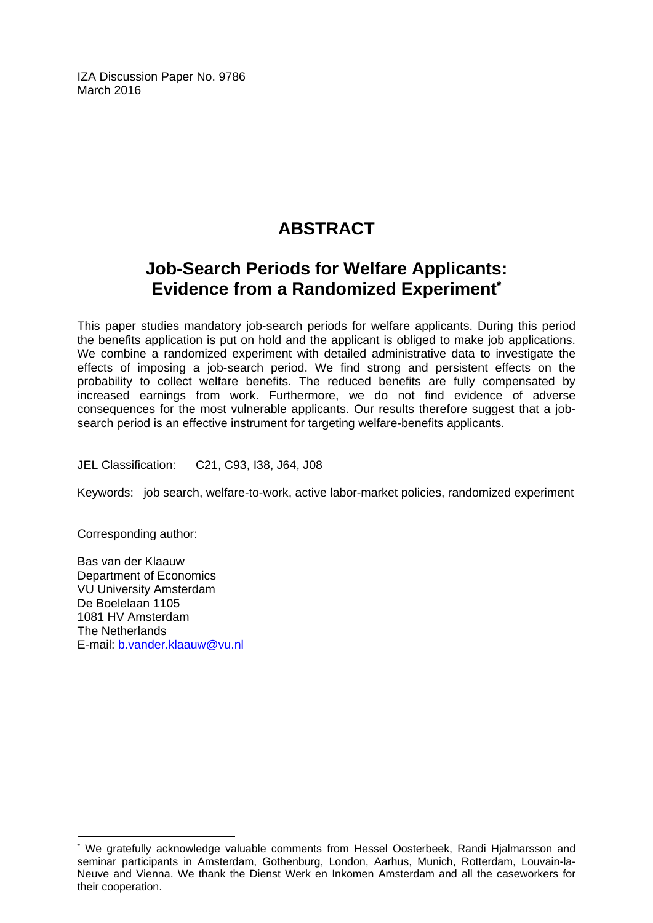IZA Discussion Paper No. 9786 March 2016

# **ABSTRACT**

# **Job-Search Periods for Welfare Applicants: Evidence from a Randomized Experiment\***

This paper studies mandatory job-search periods for welfare applicants. During this period the benefits application is put on hold and the applicant is obliged to make job applications. We combine a randomized experiment with detailed administrative data to investigate the effects of imposing a job-search period. We find strong and persistent effects on the probability to collect welfare benefits. The reduced benefits are fully compensated by increased earnings from work. Furthermore, we do not find evidence of adverse consequences for the most vulnerable applicants. Our results therefore suggest that a jobsearch period is an effective instrument for targeting welfare-benefits applicants.

JEL Classification: C21, C93, I38, J64, J08

Keywords: job search, welfare-to-work, active labor-market policies, randomized experiment

Corresponding author:

 $\overline{a}$ 

Bas van der Klaauw Department of Economics VU University Amsterdam De Boelelaan 1105 1081 HV Amsterdam The Netherlands E-mail: b.vander.klaauw@vu.nl

<sup>\*</sup> We gratefully acknowledge valuable comments from Hessel Oosterbeek, Randi Hjalmarsson and seminar participants in Amsterdam, Gothenburg, London, Aarhus, Munich, Rotterdam, Louvain-la-Neuve and Vienna. We thank the Dienst Werk en Inkomen Amsterdam and all the caseworkers for their cooperation.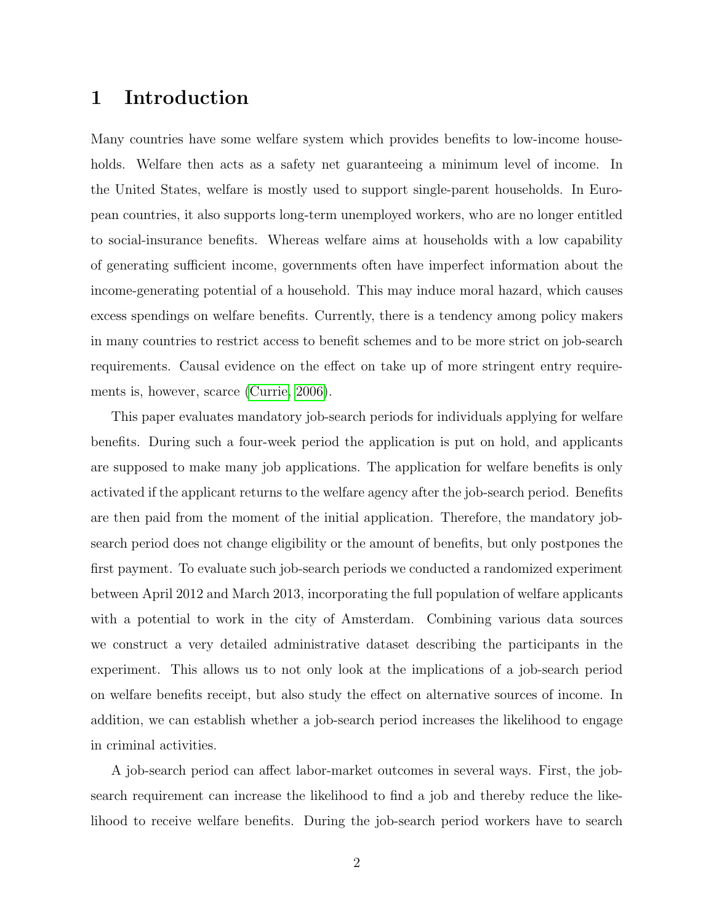### 1 Introduction

Many countries have some welfare system which provides benefits to low-income households. Welfare then acts as a safety net guaranteeing a minimum level of income. In the United States, welfare is mostly used to support single-parent households. In European countries, it also supports long-term unemployed workers, who are no longer entitled to social-insurance benefits. Whereas welfare aims at households with a low capability of generating sufficient income, governments often have imperfect information about the income-generating potential of a household. This may induce moral hazard, which causes excess spendings on welfare benefits. Currently, there is a tendency among policy makers in many countries to restrict access to benefit schemes and to be more strict on job-search requirements. Causal evidence on the effect on take up of more stringent entry requirements is, however, scarce [\(Currie, 2006\)](#page-43-0).

This paper evaluates mandatory job-search periods for individuals applying for welfare benefits. During such a four-week period the application is put on hold, and applicants are supposed to make many job applications. The application for welfare benefits is only activated if the applicant returns to the welfare agency after the job-search period. Benefits are then paid from the moment of the initial application. Therefore, the mandatory jobsearch period does not change eligibility or the amount of benefits, but only postpones the first payment. To evaluate such job-search periods we conducted a randomized experiment between April 2012 and March 2013, incorporating the full population of welfare applicants with a potential to work in the city of Amsterdam. Combining various data sources we construct a very detailed administrative dataset describing the participants in the experiment. This allows us to not only look at the implications of a job-search period on welfare benefits receipt, but also study the effect on alternative sources of income. In addition, we can establish whether a job-search period increases the likelihood to engage in criminal activities.

A job-search period can affect labor-market outcomes in several ways. First, the jobsearch requirement can increase the likelihood to find a job and thereby reduce the likelihood to receive welfare benefits. During the job-search period workers have to search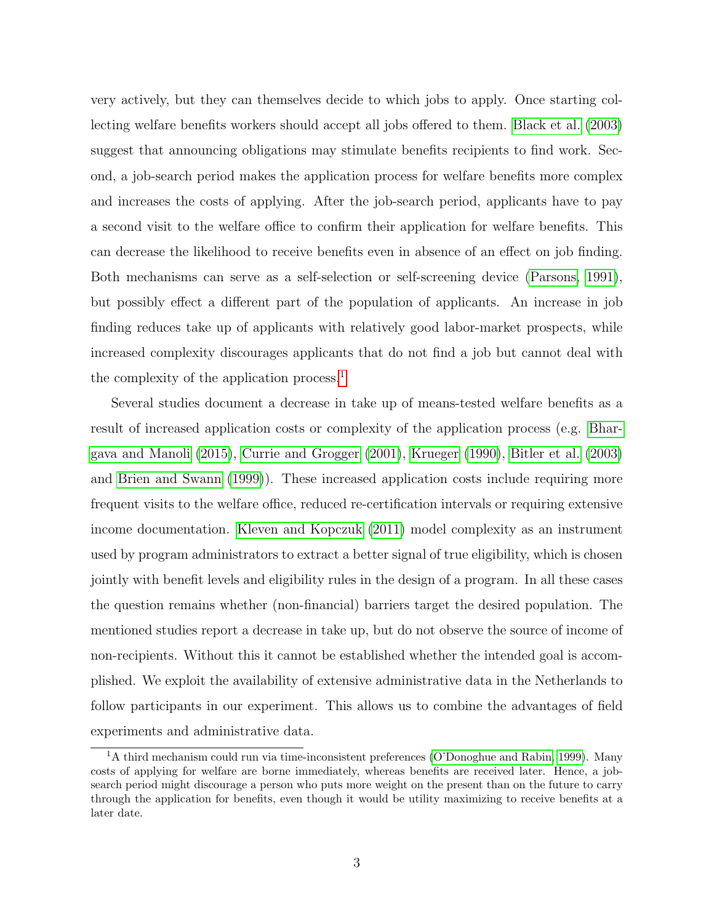very actively, but they can themselves decide to which jobs to apply. Once starting collecting welfare benefits workers should accept all jobs offered to them. [Black et al.](#page-42-0) [\(2003\)](#page-42-0) suggest that announcing obligations may stimulate benefits recipients to find work. Second, a job-search period makes the application process for welfare benefits more complex and increases the costs of applying. After the job-search period, applicants have to pay a second visit to the welfare office to confirm their application for welfare benefits. This can decrease the likelihood to receive benefits even in absence of an effect on job finding. Both mechanisms can serve as a self-selection or self-screening device [\(Parsons, 1991\)](#page-44-0), but possibly effect a different part of the population of applicants. An increase in job finding reduces take up of applicants with relatively good labor-market prospects, while increased complexity discourages applicants that do not find a job but cannot deal with the complexity of the application process.<sup>[1](#page--1-0)</sup>

Several studies document a decrease in take up of means-tested welfare benefits as a result of increased application costs or complexity of the application process (e.g. [Bhar](#page-42-1)[gava and Manoli](#page-42-1) [\(2015\)](#page-42-1), [Currie and Grogger](#page-43-1) [\(2001\)](#page-43-1), [Krueger](#page-43-2) [\(1990\)](#page-43-2), [Bitler et al.](#page-42-2) [\(2003\)](#page-42-2) and [Brien and Swann](#page-42-3) [\(1999\)](#page-42-3)). These increased application costs include requiring more frequent visits to the welfare office, reduced re-certification intervals or requiring extensive income documentation. [Kleven and Kopczuk](#page-43-3) [\(2011\)](#page-43-3) model complexity as an instrument used by program administrators to extract a better signal of true eligibility, which is chosen jointly with benefit levels and eligibility rules in the design of a program. In all these cases the question remains whether (non-financial) barriers target the desired population. The mentioned studies report a decrease in take up, but do not observe the source of income of non-recipients. Without this it cannot be established whether the intended goal is accomplished. We exploit the availability of extensive administrative data in the Netherlands to follow participants in our experiment. This allows us to combine the advantages of field experiments and administrative data.

<sup>&</sup>lt;sup>1</sup>A third mechanism could run via time-inconsistent preferences [\(O'Donoghue and Rabin, 1999\)](#page-44-1). Many costs of applying for welfare are borne immediately, whereas benefits are received later. Hence, a jobsearch period might discourage a person who puts more weight on the present than on the future to carry through the application for benefits, even though it would be utility maximizing to receive benefits at a later date.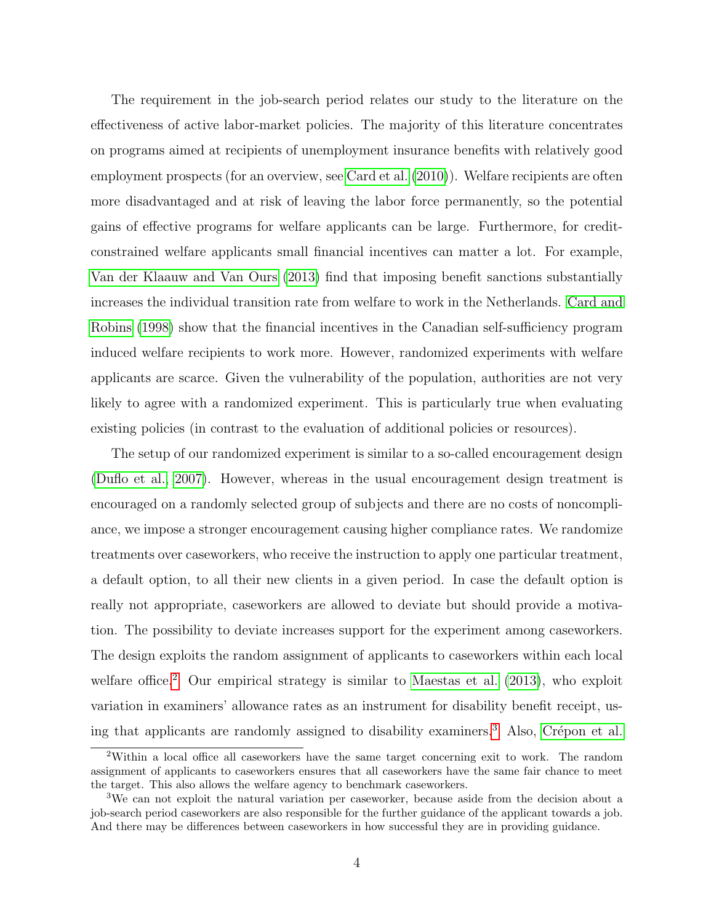The requirement in the job-search period relates our study to the literature on the effectiveness of active labor-market policies. The majority of this literature concentrates on programs aimed at recipients of unemployment insurance benefits with relatively good employment prospects (for an overview, see [Card et al.](#page-42-4) [\(2010\)](#page-42-4)). Welfare recipients are often more disadvantaged and at risk of leaving the labor force permanently, so the potential gains of effective programs for welfare applicants can be large. Furthermore, for creditconstrained welfare applicants small financial incentives can matter a lot. For example, [Van der Klaauw and Van Ours](#page-44-2) [\(2013\)](#page-44-2) find that imposing benefit sanctions substantially increases the individual transition rate from welfare to work in the Netherlands. [Card and](#page-42-5) [Robins](#page-42-5) [\(1998\)](#page-42-5) show that the financial incentives in the Canadian self-sufficiency program induced welfare recipients to work more. However, randomized experiments with welfare applicants are scarce. Given the vulnerability of the population, authorities are not very likely to agree with a randomized experiment. This is particularly true when evaluating existing policies (in contrast to the evaluation of additional policies or resources).

The setup of our randomized experiment is similar to a so-called encouragement design [\(Duflo et al., 2007\)](#page-43-4). However, whereas in the usual encouragement design treatment is encouraged on a randomly selected group of subjects and there are no costs of noncompliance, we impose a stronger encouragement causing higher compliance rates. We randomize treatments over caseworkers, who receive the instruction to apply one particular treatment, a default option, to all their new clients in a given period. In case the default option is really not appropriate, caseworkers are allowed to deviate but should provide a motivation. The possibility to deviate increases support for the experiment among caseworkers. The design exploits the random assignment of applicants to caseworkers within each local welfare office.<sup>[2](#page--1-0)</sup> Our empirical strategy is similar to [Maestas et al.](#page-43-5) [\(2013\)](#page-43-5), who exploit variation in examiners' allowance rates as an instrument for disability benefit receipt, us-ing that applicants are randomly assigned to disability examiners.<sup>[3](#page--1-0)</sup> Also, Crépon et al.

<sup>&</sup>lt;sup>2</sup>Within a local office all caseworkers have the same target concerning exit to work. The random assignment of applicants to caseworkers ensures that all caseworkers have the same fair chance to meet the target. This also allows the welfare agency to benchmark caseworkers.

<sup>3</sup>We can not exploit the natural variation per caseworker, because aside from the decision about a job-search period caseworkers are also responsible for the further guidance of the applicant towards a job. And there may be differences between caseworkers in how successful they are in providing guidance.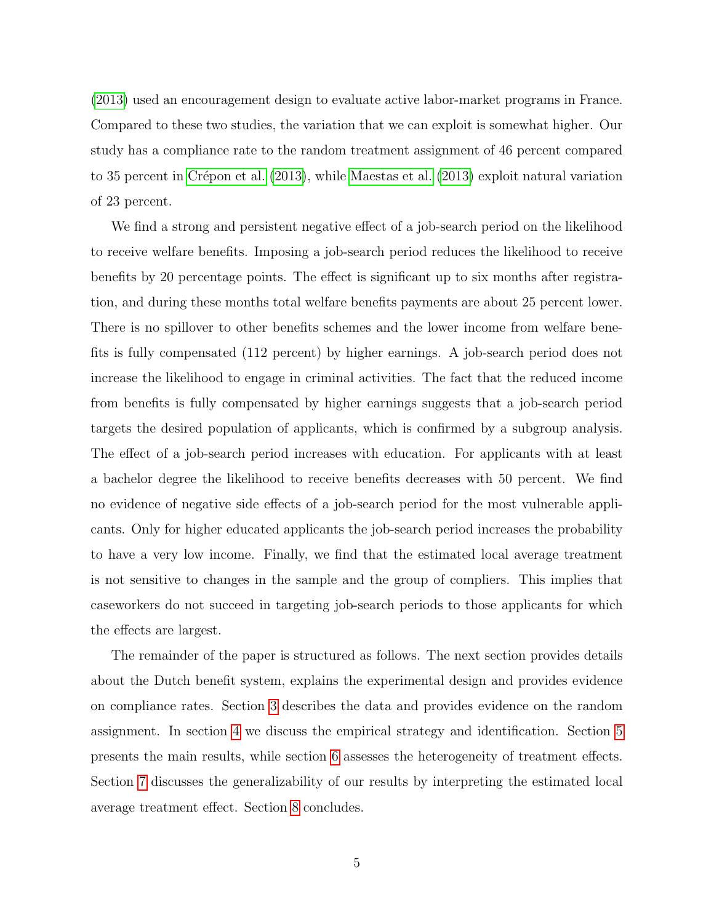[\(2013\)](#page-42-6) used an encouragement design to evaluate active labor-market programs in France. Compared to these two studies, the variation that we can exploit is somewhat higher. Our study has a compliance rate to the random treatment assignment of 46 percent compared to 35 percent in Crépon et al.  $(2013)$ , while [Maestas et al.](#page-43-5)  $(2013)$  exploit natural variation of 23 percent.

We find a strong and persistent negative effect of a job-search period on the likelihood to receive welfare benefits. Imposing a job-search period reduces the likelihood to receive benefits by 20 percentage points. The effect is significant up to six months after registration, and during these months total welfare benefits payments are about 25 percent lower. There is no spillover to other benefits schemes and the lower income from welfare benefits is fully compensated (112 percent) by higher earnings. A job-search period does not increase the likelihood to engage in criminal activities. The fact that the reduced income from benefits is fully compensated by higher earnings suggests that a job-search period targets the desired population of applicants, which is confirmed by a subgroup analysis. The effect of a job-search period increases with education. For applicants with at least a bachelor degree the likelihood to receive benefits decreases with 50 percent. We find no evidence of negative side effects of a job-search period for the most vulnerable applicants. Only for higher educated applicants the job-search period increases the probability to have a very low income. Finally, we find that the estimated local average treatment is not sensitive to changes in the sample and the group of compliers. This implies that caseworkers do not succeed in targeting job-search periods to those applicants for which the effects are largest.

The remainder of the paper is structured as follows. The next section provides details about the Dutch benefit system, explains the experimental design and provides evidence on compliance rates. Section [3](#page-13-0) describes the data and provides evidence on the random assignment. In section [4](#page-17-0) we discuss the empirical strategy and identification. Section [5](#page-22-0) presents the main results, while section [6](#page-29-0) assesses the heterogeneity of treatment effects. Section [7](#page-34-0) discusses the generalizability of our results by interpreting the estimated local average treatment effect. Section [8](#page-40-0) concludes.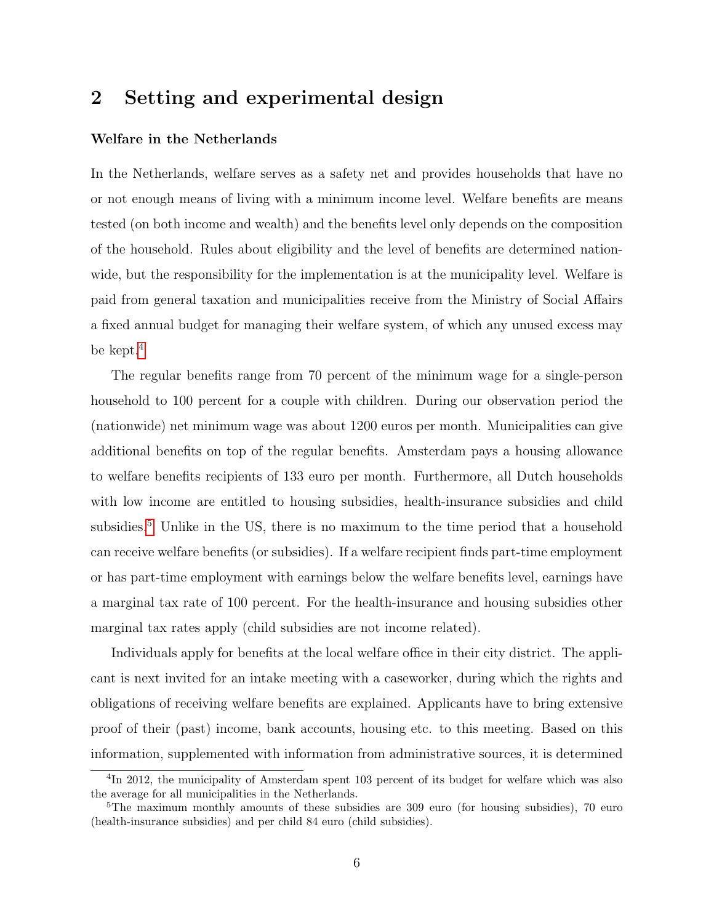## 2 Setting and experimental design

### Welfare in the Netherlands

In the Netherlands, welfare serves as a safety net and provides households that have no or not enough means of living with a minimum income level. Welfare benefits are means tested (on both income and wealth) and the benefits level only depends on the composition of the household. Rules about eligibility and the level of benefits are determined nationwide, but the responsibility for the implementation is at the municipality level. Welfare is paid from general taxation and municipalities receive from the Ministry of Social Affairs a fixed annual budget for managing their welfare system, of which any unused excess may be kept.[4](#page--1-0)

The regular benefits range from 70 percent of the minimum wage for a single-person household to 100 percent for a couple with children. During our observation period the (nationwide) net minimum wage was about 1200 euros per month. Municipalities can give additional benefits on top of the regular benefits. Amsterdam pays a housing allowance to welfare benefits recipients of 133 euro per month. Furthermore, all Dutch households with low income are entitled to housing subsidies, health-insurance subsidies and child subsidies.<sup>[5](#page--1-0)</sup> Unlike in the US, there is no maximum to the time period that a household can receive welfare benefits (or subsidies). If a welfare recipient finds part-time employment or has part-time employment with earnings below the welfare benefits level, earnings have a marginal tax rate of 100 percent. For the health-insurance and housing subsidies other marginal tax rates apply (child subsidies are not income related).

Individuals apply for benefits at the local welfare office in their city district. The applicant is next invited for an intake meeting with a caseworker, during which the rights and obligations of receiving welfare benefits are explained. Applicants have to bring extensive proof of their (past) income, bank accounts, housing etc. to this meeting. Based on this information, supplemented with information from administrative sources, it is determined

<sup>&</sup>lt;sup>4</sup>In 2012, the municipality of Amsterdam spent 103 percent of its budget for welfare which was also the average for all municipalities in the Netherlands.

<sup>&</sup>lt;sup>5</sup>The maximum monthly amounts of these subsidies are  $309$  euro (for housing subsidies), 70 euro (health-insurance subsidies) and per child 84 euro (child subsidies).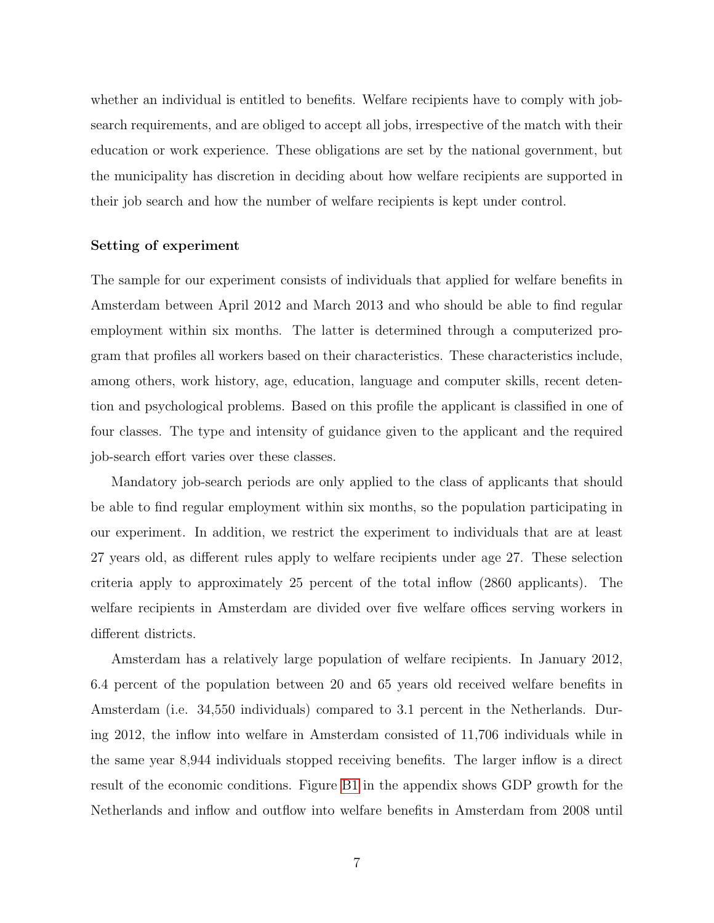whether an individual is entitled to benefits. Welfare recipients have to comply with jobsearch requirements, and are obliged to accept all jobs, irrespective of the match with their education or work experience. These obligations are set by the national government, but the municipality has discretion in deciding about how welfare recipients are supported in their job search and how the number of welfare recipients is kept under control.

#### Setting of experiment

The sample for our experiment consists of individuals that applied for welfare benefits in Amsterdam between April 2012 and March 2013 and who should be able to find regular employment within six months. The latter is determined through a computerized program that profiles all workers based on their characteristics. These characteristics include, among others, work history, age, education, language and computer skills, recent detention and psychological problems. Based on this profile the applicant is classified in one of four classes. The type and intensity of guidance given to the applicant and the required job-search effort varies over these classes.

Mandatory job-search periods are only applied to the class of applicants that should be able to find regular employment within six months, so the population participating in our experiment. In addition, we restrict the experiment to individuals that are at least 27 years old, as different rules apply to welfare recipients under age 27. These selection criteria apply to approximately 25 percent of the total inflow (2860 applicants). The welfare recipients in Amsterdam are divided over five welfare offices serving workers in different districts.

Amsterdam has a relatively large population of welfare recipients. In January 2012, 6.4 percent of the population between 20 and 65 years old received welfare benefits in Amsterdam (i.e. 34,550 individuals) compared to 3.1 percent in the Netherlands. During 2012, the inflow into welfare in Amsterdam consisted of 11,706 individuals while in the same year 8,944 individuals stopped receiving benefits. The larger inflow is a direct result of the economic conditions. Figure [B1](#page-49-0) in the appendix shows GDP growth for the Netherlands and inflow and outflow into welfare benefits in Amsterdam from 2008 until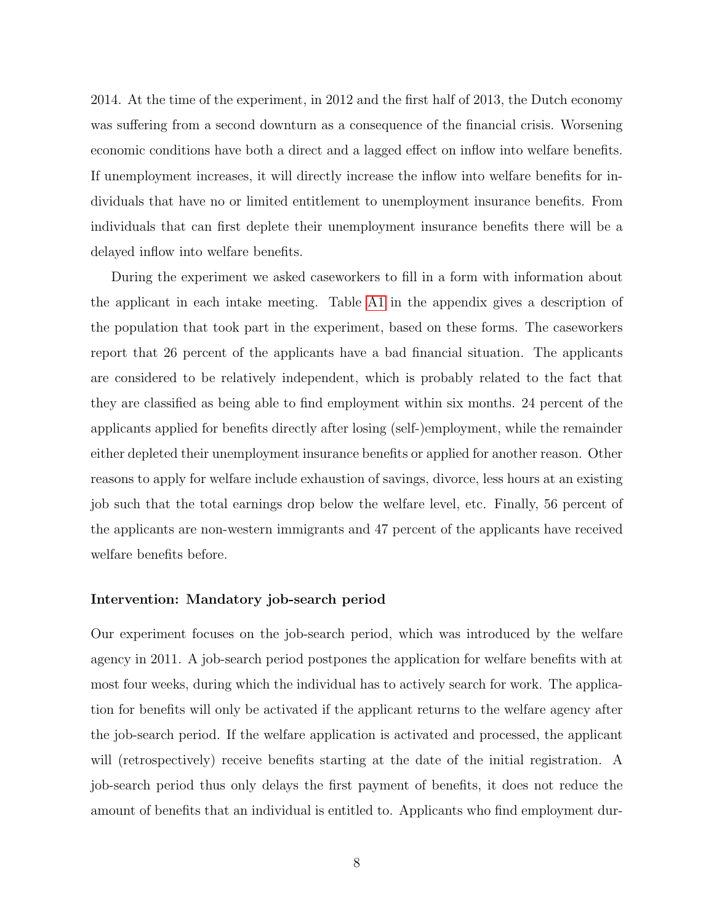2014. At the time of the experiment, in 2012 and the first half of 2013, the Dutch economy was suffering from a second downturn as a consequence of the financial crisis. Worsening economic conditions have both a direct and a lagged effect on inflow into welfare benefits. If unemployment increases, it will directly increase the inflow into welfare benefits for individuals that have no or limited entitlement to unemployment insurance benefits. From individuals that can first deplete their unemployment insurance benefits there will be a delayed inflow into welfare benefits.

During the experiment we asked caseworkers to fill in a form with information about the applicant in each intake meeting. Table [A1](#page-45-0) in the appendix gives a description of the population that took part in the experiment, based on these forms. The caseworkers report that 26 percent of the applicants have a bad financial situation. The applicants are considered to be relatively independent, which is probably related to the fact that they are classified as being able to find employment within six months. 24 percent of the applicants applied for benefits directly after losing (self-)employment, while the remainder either depleted their unemployment insurance benefits or applied for another reason. Other reasons to apply for welfare include exhaustion of savings, divorce, less hours at an existing job such that the total earnings drop below the welfare level, etc. Finally, 56 percent of the applicants are non-western immigrants and 47 percent of the applicants have received welfare benefits before.

#### Intervention: Mandatory job-search period

Our experiment focuses on the job-search period, which was introduced by the welfare agency in 2011. A job-search period postpones the application for welfare benefits with at most four weeks, during which the individual has to actively search for work. The application for benefits will only be activated if the applicant returns to the welfare agency after the job-search period. If the welfare application is activated and processed, the applicant will (retrospectively) receive benefits starting at the date of the initial registration. A job-search period thus only delays the first payment of benefits, it does not reduce the amount of benefits that an individual is entitled to. Applicants who find employment dur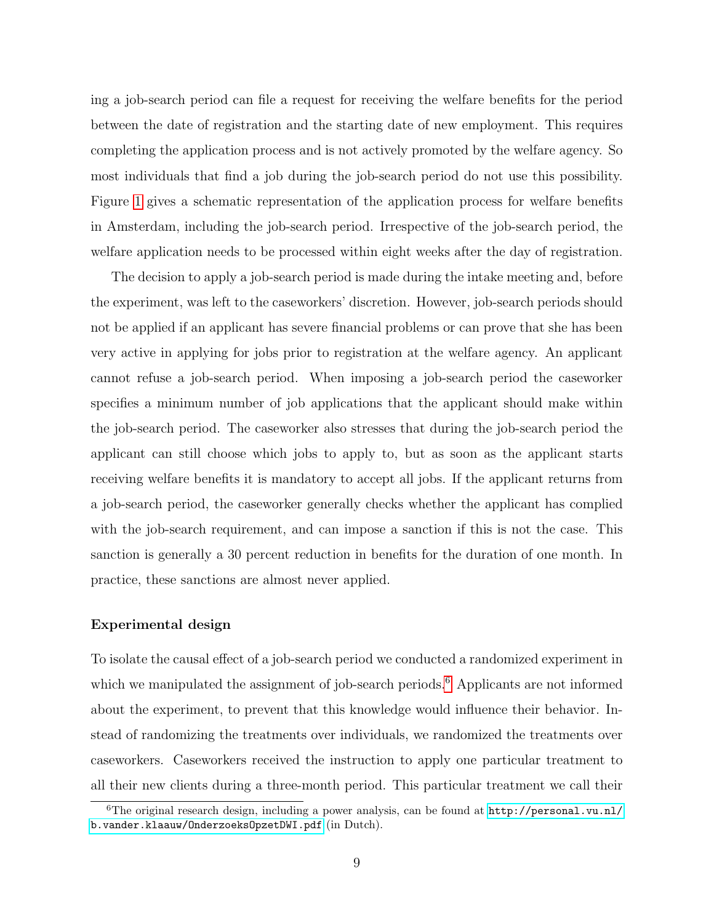ing a job-search period can file a request for receiving the welfare benefits for the period between the date of registration and the starting date of new employment. This requires completing the application process and is not actively promoted by the welfare agency. So most individuals that find a job during the job-search period do not use this possibility. Figure [1](#page-11-0) gives a schematic representation of the application process for welfare benefits in Amsterdam, including the job-search period. Irrespective of the job-search period, the welfare application needs to be processed within eight weeks after the day of registration.

The decision to apply a job-search period is made during the intake meeting and, before the experiment, was left to the caseworkers' discretion. However, job-search periods should not be applied if an applicant has severe financial problems or can prove that she has been very active in applying for jobs prior to registration at the welfare agency. An applicant cannot refuse a job-search period. When imposing a job-search period the caseworker specifies a minimum number of job applications that the applicant should make within the job-search period. The caseworker also stresses that during the job-search period the applicant can still choose which jobs to apply to, but as soon as the applicant starts receiving welfare benefits it is mandatory to accept all jobs. If the applicant returns from a job-search period, the caseworker generally checks whether the applicant has complied with the job-search requirement, and can impose a sanction if this is not the case. This sanction is generally a 30 percent reduction in benefits for the duration of one month. In practice, these sanctions are almost never applied.

### Experimental design

To isolate the causal effect of a job-search period we conducted a randomized experiment in which we manipulated the assignment of job-search periods.<sup>[6](#page--1-0)</sup> Applicants are not informed about the experiment, to prevent that this knowledge would influence their behavior. Instead of randomizing the treatments over individuals, we randomized the treatments over caseworkers. Caseworkers received the instruction to apply one particular treatment to all their new clients during a three-month period. This particular treatment we call their

<sup>&</sup>lt;sup>6</sup>The original research design, including a power analysis, can be found at  $http://personal.vu.nl/$ [b.vander.klaauw/OnderzoeksOpzetDWI.pdf](http://personal.vu.nl/b.vander.klaauw/OnderzoeksOpzetDWI.pdf) (in Dutch).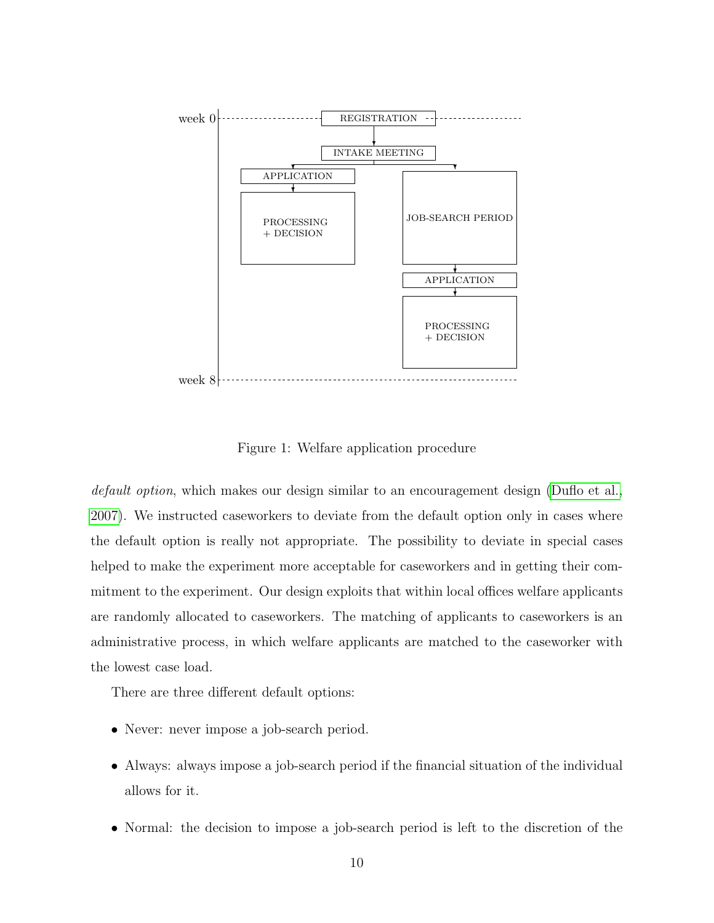<span id="page-11-0"></span>

Figure 1: Welfare application procedure

default option, which makes our design similar to an encouragement design [\(Duflo et al.,](#page-43-4) [2007\)](#page-43-4). We instructed caseworkers to deviate from the default option only in cases where the default option is really not appropriate. The possibility to deviate in special cases helped to make the experiment more acceptable for caseworkers and in getting their commitment to the experiment. Our design exploits that within local offices welfare applicants are randomly allocated to caseworkers. The matching of applicants to caseworkers is an administrative process, in which welfare applicants are matched to the caseworker with the lowest case load.

There are three different default options:

- Never: never impose a job-search period.
- Always: always impose a job-search period if the financial situation of the individual allows for it.
- Normal: the decision to impose a job-search period is left to the discretion of the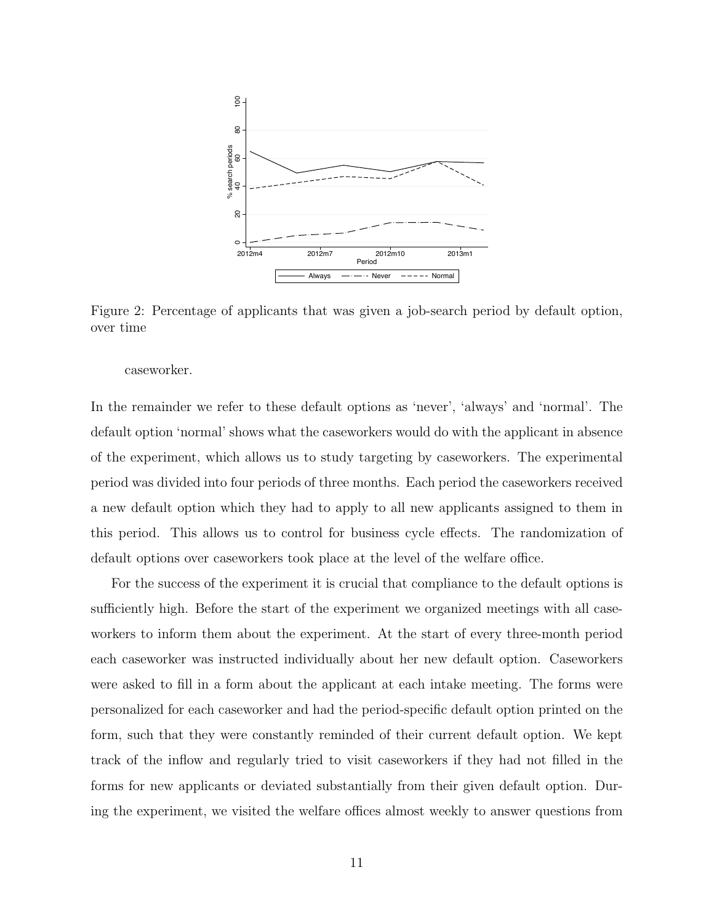<span id="page-12-0"></span>

Figure 2: Percentage of applicants that was given a job-search period by default option, over time

#### caseworker.

In the remainder we refer to these default options as 'never', 'always' and 'normal'. The default option 'normal' shows what the caseworkers would do with the applicant in absence of the experiment, which allows us to study targeting by caseworkers. The experimental period was divided into four periods of three months. Each period the caseworkers received a new default option which they had to apply to all new applicants assigned to them in this period. This allows us to control for business cycle effects. The randomization of default options over caseworkers took place at the level of the welfare office.

For the success of the experiment it is crucial that compliance to the default options is sufficiently high. Before the start of the experiment we organized meetings with all caseworkers to inform them about the experiment. At the start of every three-month period each caseworker was instructed individually about her new default option. Caseworkers were asked to fill in a form about the applicant at each intake meeting. The forms were personalized for each caseworker and had the period-specific default option printed on the form, such that they were constantly reminded of their current default option. We kept track of the inflow and regularly tried to visit caseworkers if they had not filled in the forms for new applicants or deviated substantially from their given default option. During the experiment, we visited the welfare offices almost weekly to answer questions from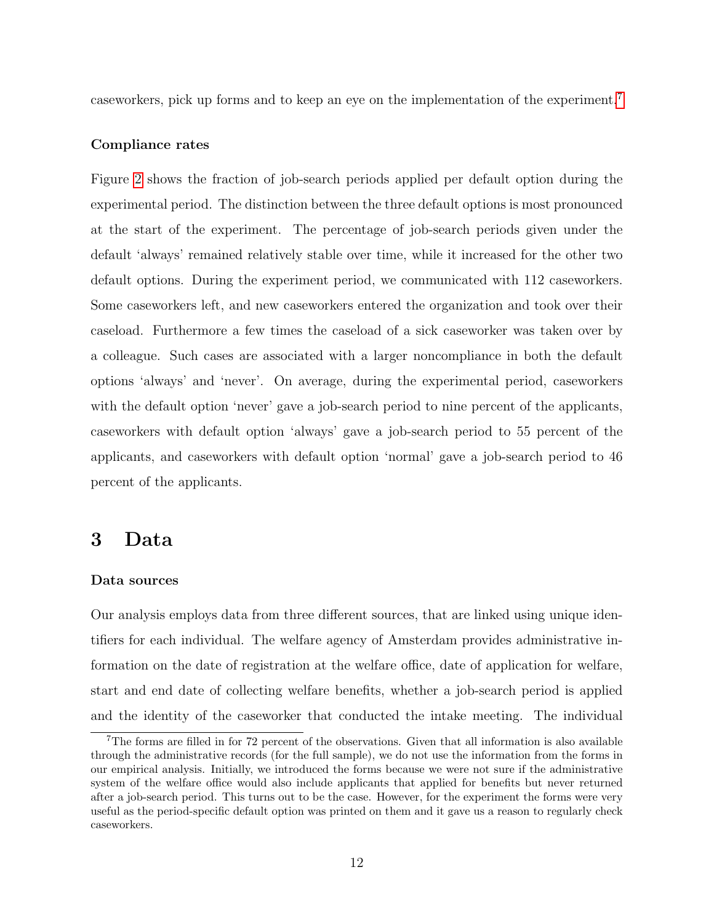caseworkers, pick up forms and to keep an eye on the implementation of the experiment.[7](#page--1-0)

### Compliance rates

Figure [2](#page-12-0) shows the fraction of job-search periods applied per default option during the experimental period. The distinction between the three default options is most pronounced at the start of the experiment. The percentage of job-search periods given under the default 'always' remained relatively stable over time, while it increased for the other two default options. During the experiment period, we communicated with 112 caseworkers. Some caseworkers left, and new caseworkers entered the organization and took over their caseload. Furthermore a few times the caseload of a sick caseworker was taken over by a colleague. Such cases are associated with a larger noncompliance in both the default options 'always' and 'never'. On average, during the experimental period, caseworkers with the default option 'never' gave a job-search period to nine percent of the applicants, caseworkers with default option 'always' gave a job-search period to 55 percent of the applicants, and caseworkers with default option 'normal' gave a job-search period to 46 percent of the applicants.

## <span id="page-13-0"></span>3 Data

#### Data sources

Our analysis employs data from three different sources, that are linked using unique identifiers for each individual. The welfare agency of Amsterdam provides administrative information on the date of registration at the welfare office, date of application for welfare, start and end date of collecting welfare benefits, whether a job-search period is applied and the identity of the caseworker that conducted the intake meeting. The individual

<sup>7</sup>The forms are filled in for 72 percent of the observations. Given that all information is also available through the administrative records (for the full sample), we do not use the information from the forms in our empirical analysis. Initially, we introduced the forms because we were not sure if the administrative system of the welfare office would also include applicants that applied for benefits but never returned after a job-search period. This turns out to be the case. However, for the experiment the forms were very useful as the period-specific default option was printed on them and it gave us a reason to regularly check caseworkers.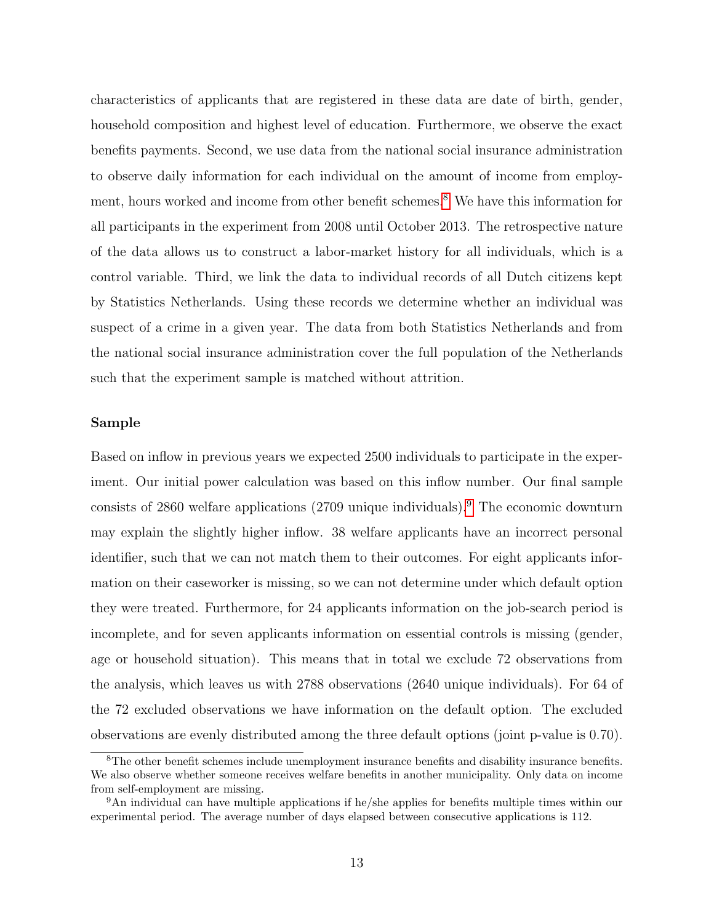characteristics of applicants that are registered in these data are date of birth, gender, household composition and highest level of education. Furthermore, we observe the exact benefits payments. Second, we use data from the national social insurance administration to observe daily information for each individual on the amount of income from employ-ment, hours worked and income from other benefit schemes.<sup>[8](#page--1-0)</sup> We have this information for all participants in the experiment from 2008 until October 2013. The retrospective nature of the data allows us to construct a labor-market history for all individuals, which is a control variable. Third, we link the data to individual records of all Dutch citizens kept by Statistics Netherlands. Using these records we determine whether an individual was suspect of a crime in a given year. The data from both Statistics Netherlands and from the national social insurance administration cover the full population of the Netherlands such that the experiment sample is matched without attrition.

### Sample

Based on inflow in previous years we expected 2500 individuals to participate in the experiment. Our initial power calculation was based on this inflow number. Our final sample consists of 2860 welfare applications  $(2709 \text{ unique individuals})$  $(2709 \text{ unique individuals})$  $(2709 \text{ unique individuals})$ .<sup>9</sup> The economic downturn may explain the slightly higher inflow. 38 welfare applicants have an incorrect personal identifier, such that we can not match them to their outcomes. For eight applicants information on their caseworker is missing, so we can not determine under which default option they were treated. Furthermore, for 24 applicants information on the job-search period is incomplete, and for seven applicants information on essential controls is missing (gender, age or household situation). This means that in total we exclude 72 observations from the analysis, which leaves us with 2788 observations (2640 unique individuals). For 64 of the 72 excluded observations we have information on the default option. The excluded observations are evenly distributed among the three default options (joint p-value is 0.70).

 $8$ The other benefit schemes include unemployment insurance benefits and disability insurance benefits. We also observe whether someone receives welfare benefits in another municipality. Only data on income from self-employment are missing.

<sup>9</sup>An individual can have multiple applications if he/she applies for benefits multiple times within our experimental period. The average number of days elapsed between consecutive applications is 112.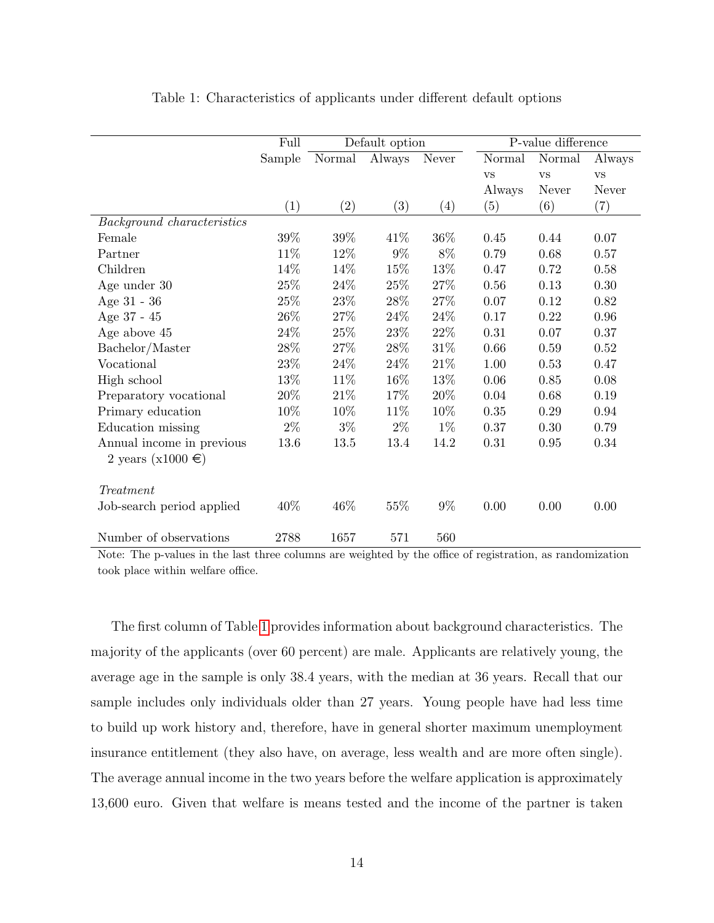<span id="page-15-0"></span>

|                            | Full   |                   | Default option |        |           | P-value difference |           |
|----------------------------|--------|-------------------|----------------|--------|-----------|--------------------|-----------|
|                            | Sample | Normal            | Always         | Never  | Normal    | Normal             | Always    |
|                            |        |                   |                |        | <b>VS</b> | <b>VS</b>          | <b>VS</b> |
|                            |        |                   |                |        | Always    | Never              | Never     |
|                            | (1)    | $\left( 2\right)$ | (3)            | (4)    | (5)       | (6)                | (7)       |
| Background characteristics |        |                   |                |        |           |                    |           |
| Female                     | 39\%   | 39\%              | 41\%           | 36\%   | 0.45      | 0.44               | 0.07      |
| Partner                    | 11\%   | 12\%              | $9\%$          | $8\%$  | 0.79      | 0.68               | 0.57      |
| Children                   | 14%    | 14%               | 15%            | 13%    | 0.47      | 0.72               | 0.58      |
| Age under 30               | $25\%$ | 24\%              | $25\%$         | 27%    | $0.56\,$  | 0.13               | 0.30      |
| Age $31 - 36$              | $25\%$ | 23\%              | 28\%           | 27\%   | 0.07      | 0.12               | 0.82      |
| Age 37 - 45                | 26\%   | 27\%              | 24\%           | 24\%   | 0.17      | 0.22               | 0.96      |
| Age above 45               | 24\%   | 25\%              | $23\%$         | 22\%   | 0.31      | 0.07               | 0.37      |
| Bachelor/Master            | $28\%$ | $27\%$            | $28\%$         | 31\%   | 0.66      | 0.59               | 0.52      |
| Vocational                 | 23\%   | $24\%$            | 24\%           | 21\%   | $1.00\,$  | 0.53               | 0.47      |
| High school                | 13%    | 11\%              | 16\%           | 13%    | 0.06      | 0.85               | 0.08      |
| Preparatory vocational     | $20\%$ | 21\%              | 17%            | $20\%$ | 0.04      | 0.68               | 0.19      |
| Primary education          | 10%    | 10%               | 11\%           | 10%    | 0.35      | 0.29               | 0.94      |
| Education missing          | $2\%$  | $3\%$             | $2\%$          | $1\%$  | 0.37      | 0.30               | 0.79      |
| Annual income in previous  | 13.6   | 13.5              | 13.4           | 14.2   | 0.31      | 0.95               | 0.34      |
| 2 years ( $x1000 \in$ )    |        |                   |                |        |           |                    |           |
| Treatment                  |        |                   |                |        |           |                    |           |
| Job-search period applied  | 40\%   | 46%               | $55\%$         | $9\%$  | $0.00\,$  | 0.00               | 0.00      |
| Number of observations     | 2788   | 1657              | 571            | 560    |           |                    |           |

Table 1: Characteristics of applicants under different default options

Note: The p-values in the last three columns are weighted by the office of registration, as randomization took place within welfare office.

The first column of Table [1](#page-15-0) provides information about background characteristics. The majority of the applicants (over 60 percent) are male. Applicants are relatively young, the average age in the sample is only 38.4 years, with the median at 36 years. Recall that our sample includes only individuals older than 27 years. Young people have had less time to build up work history and, therefore, have in general shorter maximum unemployment insurance entitlement (they also have, on average, less wealth and are more often single). The average annual income in the two years before the welfare application is approximately 13,600 euro. Given that welfare is means tested and the income of the partner is taken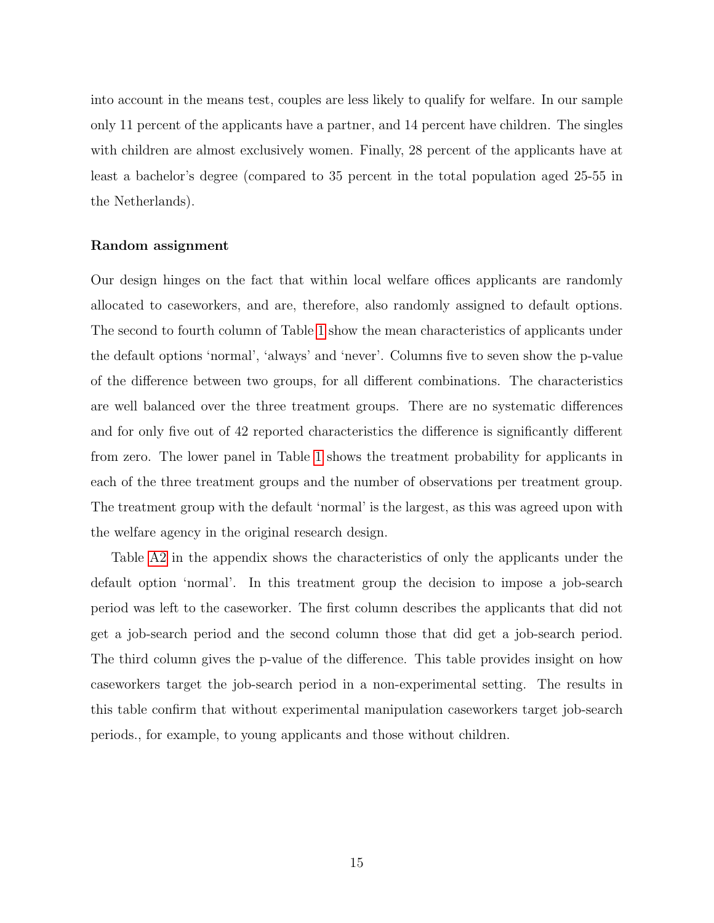into account in the means test, couples are less likely to qualify for welfare. In our sample only 11 percent of the applicants have a partner, and 14 percent have children. The singles with children are almost exclusively women. Finally, 28 percent of the applicants have at least a bachelor's degree (compared to 35 percent in the total population aged 25-55 in the Netherlands).

#### Random assignment

Our design hinges on the fact that within local welfare offices applicants are randomly allocated to caseworkers, and are, therefore, also randomly assigned to default options. The second to fourth column of Table [1](#page-15-0) show the mean characteristics of applicants under the default options 'normal', 'always' and 'never'. Columns five to seven show the p-value of the difference between two groups, for all different combinations. The characteristics are well balanced over the three treatment groups. There are no systematic differences and for only five out of 42 reported characteristics the difference is significantly different from zero. The lower panel in Table [1](#page-15-0) shows the treatment probability for applicants in each of the three treatment groups and the number of observations per treatment group. The treatment group with the default 'normal' is the largest, as this was agreed upon with the welfare agency in the original research design.

Table [A2](#page-46-0) in the appendix shows the characteristics of only the applicants under the default option 'normal'. In this treatment group the decision to impose a job-search period was left to the caseworker. The first column describes the applicants that did not get a job-search period and the second column those that did get a job-search period. The third column gives the p-value of the difference. This table provides insight on how caseworkers target the job-search period in a non-experimental setting. The results in this table confirm that without experimental manipulation caseworkers target job-search periods., for example, to young applicants and those without children.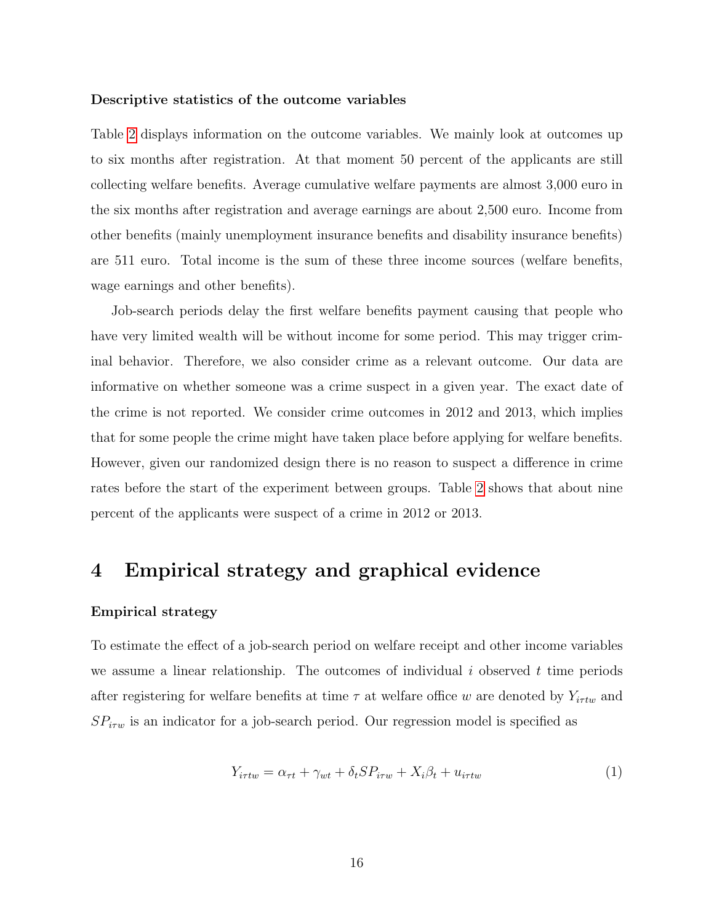#### Descriptive statistics of the outcome variables

Table [2](#page-18-0) displays information on the outcome variables. We mainly look at outcomes up to six months after registration. At that moment 50 percent of the applicants are still collecting welfare benefits. Average cumulative welfare payments are almost 3,000 euro in the six months after registration and average earnings are about 2,500 euro. Income from other benefits (mainly unemployment insurance benefits and disability insurance benefits) are 511 euro. Total income is the sum of these three income sources (welfare benefits, wage earnings and other benefits).

Job-search periods delay the first welfare benefits payment causing that people who have very limited wealth will be without income for some period. This may trigger criminal behavior. Therefore, we also consider crime as a relevant outcome. Our data are informative on whether someone was a crime suspect in a given year. The exact date of the crime is not reported. We consider crime outcomes in 2012 and 2013, which implies that for some people the crime might have taken place before applying for welfare benefits. However, given our randomized design there is no reason to suspect a difference in crime rates before the start of the experiment between groups. Table [2](#page-18-0) shows that about nine percent of the applicants were suspect of a crime in 2012 or 2013.

### <span id="page-17-0"></span>4 Empirical strategy and graphical evidence

#### Empirical strategy

To estimate the effect of a job-search period on welfare receipt and other income variables we assume a linear relationship. The outcomes of individual  $i$  observed  $t$  time periods after registering for welfare benefits at time  $\tau$  at welfare office w are denoted by  $Y_{i\tau tw}$  and  $SP_{irw}$  is an indicator for a job-search period. Our regression model is specified as

$$
Y_{i\tau t w} = \alpha_{\tau t} + \gamma_{w t} + \delta_t S P_{i\tau w} + X_i \beta_t + u_{i\tau t w} \tag{1}
$$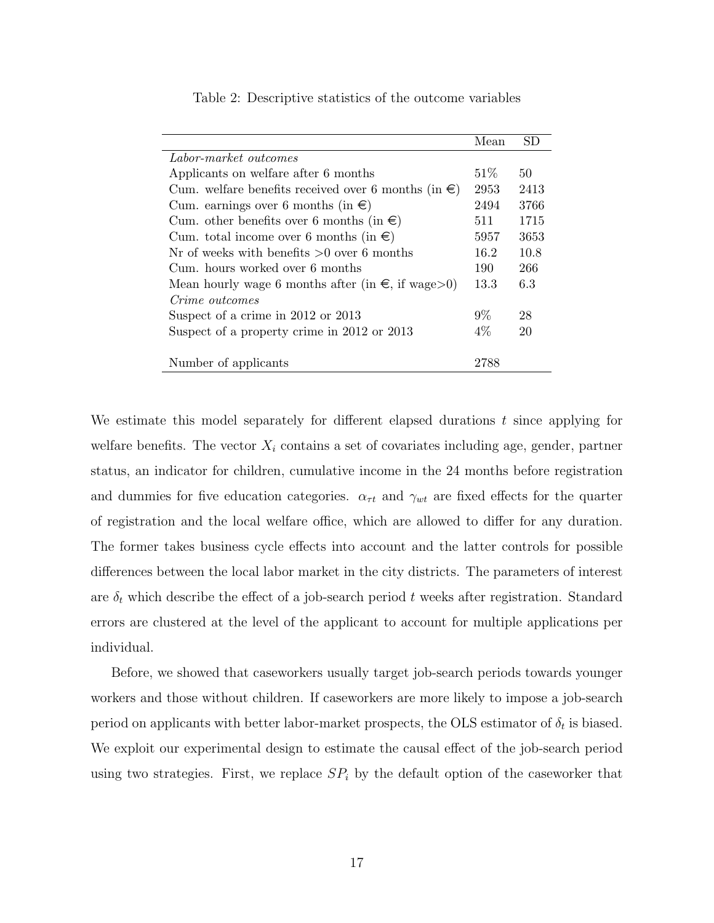<span id="page-18-0"></span>

|                                                               | Mean  | SD   |
|---------------------------------------------------------------|-------|------|
| Labor-market outcomes                                         |       |      |
| Applicants on welfare after 6 months                          | 51%   | 50   |
| Cum. welfare benefits received over 6 months (in $\epsilon$ ) | 2953  | 2413 |
| Cum. earnings over 6 months (in $\epsilon$ )                  | 2494  | 3766 |
| Cum. other benefits over 6 months (in $\epsilon$ )            | 511   | 1715 |
| Cum. total income over 6 months (in $\epsilon$ )              | 5957  | 3653 |
| Nr of weeks with benefits $>0$ over 6 months                  | 16.2  | 10.8 |
| Cum, hours worked over 6 months                               | 190   | 266  |
| Mean hourly wage 6 months after (in $\epsilon$ , if wage>0)   | 13.3  | 6.3  |
| <i>Crime outcomes</i>                                         |       |      |
| Suspect of a crime in 2012 or 2013                            | $9\%$ | 28   |
| Suspect of a property crime in 2012 or 2013                   | $4\%$ | 20   |
|                                                               |       |      |
| Number of applicants                                          | 2788  |      |

Table 2: Descriptive statistics of the outcome variables

We estimate this model separately for different elapsed durations  $t$  since applying for welfare benefits. The vector  $X_i$  contains a set of covariates including age, gender, partner status, an indicator for children, cumulative income in the 24 months before registration and dummies for five education categories.  $\alpha_{\tau t}$  and  $\gamma_{wt}$  are fixed effects for the quarter of registration and the local welfare office, which are allowed to differ for any duration. The former takes business cycle effects into account and the latter controls for possible differences between the local labor market in the city districts. The parameters of interest are  $\delta_t$  which describe the effect of a job-search period t weeks after registration. Standard errors are clustered at the level of the applicant to account for multiple applications per individual.

Before, we showed that caseworkers usually target job-search periods towards younger workers and those without children. If caseworkers are more likely to impose a job-search period on applicants with better labor-market prospects, the OLS estimator of  $\delta_t$  is biased. We exploit our experimental design to estimate the causal effect of the job-search period using two strategies. First, we replace  $SP_i$  by the default option of the caseworker that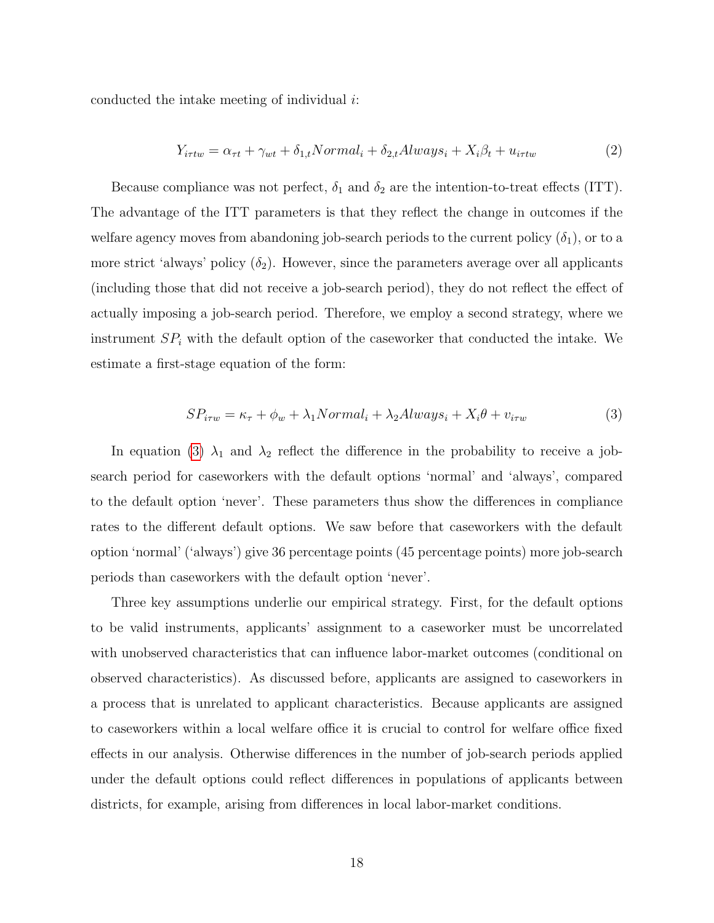<span id="page-19-1"></span>conducted the intake meeting of individual  $i$ .

$$
Y_{i\tau tw} = \alpha_{\tau t} + \gamma_{wt} + \delta_{1,t} Normal_i + \delta_{2,t} Always_i + X_i\beta_t + u_{i\tau tw}
$$
\n<sup>(2)</sup>

Because compliance was not perfect,  $\delta_1$  and  $\delta_2$  are the intention-to-treat effects (ITT). The advantage of the ITT parameters is that they reflect the change in outcomes if the welfare agency moves from abandoning job-search periods to the current policy  $(\delta_1)$ , or to a more strict 'always' policy  $(\delta_2)$ . However, since the parameters average over all applicants (including those that did not receive a job-search period), they do not reflect the effect of actually imposing a job-search period. Therefore, we employ a second strategy, where we instrument  $SP_i$  with the default option of the caseworker that conducted the intake. We estimate a first-stage equation of the form:

$$
SP_{i\tau w} = \kappa_{\tau} + \phi_w + \lambda_1 Normal_i + \lambda_2 Always_i + X_i\theta + v_{i\tau w}
$$
\n<sup>(3)</sup>

<span id="page-19-0"></span>In equation [\(3\)](#page-19-0)  $\lambda_1$  and  $\lambda_2$  reflect the difference in the probability to receive a jobsearch period for caseworkers with the default options 'normal' and 'always', compared to the default option 'never'. These parameters thus show the differences in compliance rates to the different default options. We saw before that caseworkers with the default option 'normal' ('always') give 36 percentage points (45 percentage points) more job-search periods than caseworkers with the default option 'never'.

Three key assumptions underlie our empirical strategy. First, for the default options to be valid instruments, applicants' assignment to a caseworker must be uncorrelated with unobserved characteristics that can influence labor-market outcomes (conditional on observed characteristics). As discussed before, applicants are assigned to caseworkers in a process that is unrelated to applicant characteristics. Because applicants are assigned to caseworkers within a local welfare office it is crucial to control for welfare office fixed effects in our analysis. Otherwise differences in the number of job-search periods applied under the default options could reflect differences in populations of applicants between districts, for example, arising from differences in local labor-market conditions.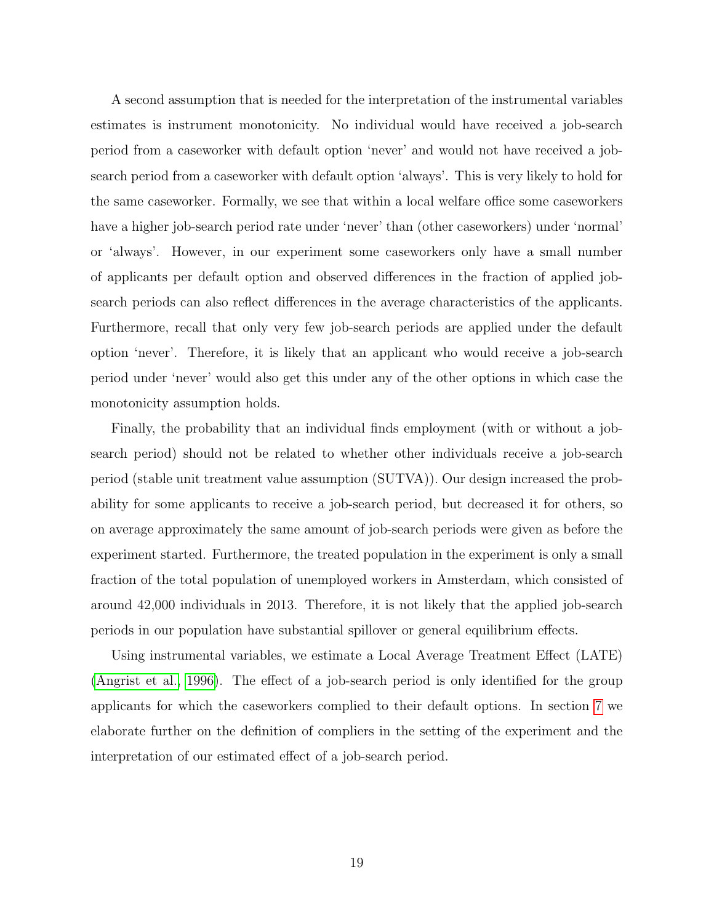A second assumption that is needed for the interpretation of the instrumental variables estimates is instrument monotonicity. No individual would have received a job-search period from a caseworker with default option 'never' and would not have received a jobsearch period from a caseworker with default option 'always'. This is very likely to hold for the same caseworker. Formally, we see that within a local welfare office some caseworkers have a higher job-search period rate under 'never' than (other caseworkers) under 'normal' or 'always'. However, in our experiment some caseworkers only have a small number of applicants per default option and observed differences in the fraction of applied jobsearch periods can also reflect differences in the average characteristics of the applicants. Furthermore, recall that only very few job-search periods are applied under the default option 'never'. Therefore, it is likely that an applicant who would receive a job-search period under 'never' would also get this under any of the other options in which case the monotonicity assumption holds.

Finally, the probability that an individual finds employment (with or without a jobsearch period) should not be related to whether other individuals receive a job-search period (stable unit treatment value assumption (SUTVA)). Our design increased the probability for some applicants to receive a job-search period, but decreased it for others, so on average approximately the same amount of job-search periods were given as before the experiment started. Furthermore, the treated population in the experiment is only a small fraction of the total population of unemployed workers in Amsterdam, which consisted of around 42,000 individuals in 2013. Therefore, it is not likely that the applied job-search periods in our population have substantial spillover or general equilibrium effects.

Using instrumental variables, we estimate a Local Average Treatment Effect (LATE) [\(Angrist et al., 1996\)](#page-42-7). The effect of a job-search period is only identified for the group applicants for which the caseworkers complied to their default options. In section [7](#page-34-0) we elaborate further on the definition of compliers in the setting of the experiment and the interpretation of our estimated effect of a job-search period.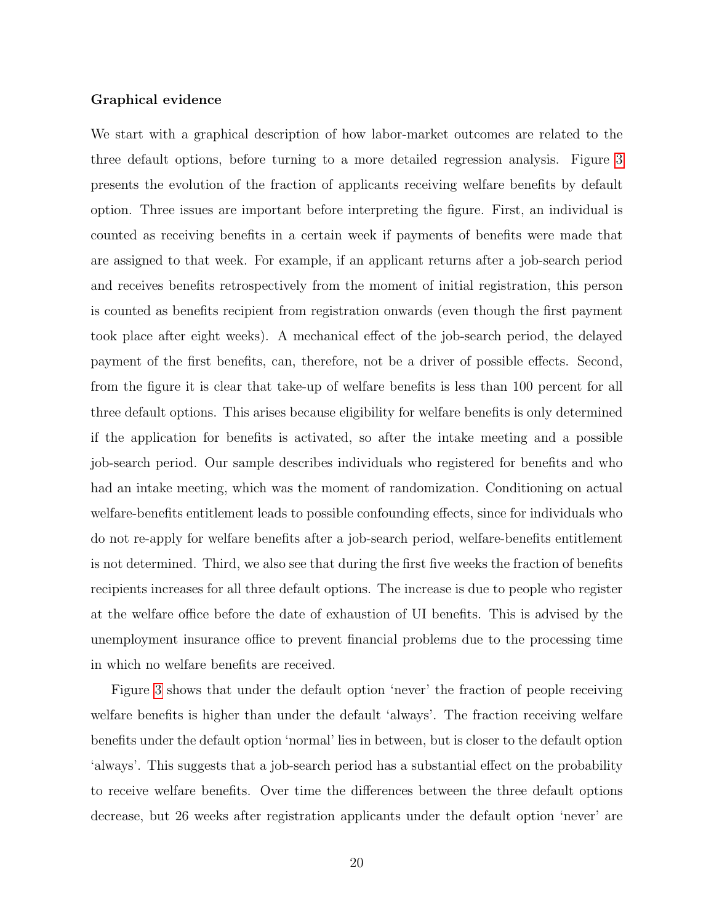#### Graphical evidence

We start with a graphical description of how labor-market outcomes are related to the three default options, before turning to a more detailed regression analysis. Figure [3](#page-22-1) presents the evolution of the fraction of applicants receiving welfare benefits by default option. Three issues are important before interpreting the figure. First, an individual is counted as receiving benefits in a certain week if payments of benefits were made that are assigned to that week. For example, if an applicant returns after a job-search period and receives benefits retrospectively from the moment of initial registration, this person is counted as benefits recipient from registration onwards (even though the first payment took place after eight weeks). A mechanical effect of the job-search period, the delayed payment of the first benefits, can, therefore, not be a driver of possible effects. Second, from the figure it is clear that take-up of welfare benefits is less than 100 percent for all three default options. This arises because eligibility for welfare benefits is only determined if the application for benefits is activated, so after the intake meeting and a possible job-search period. Our sample describes individuals who registered for benefits and who had an intake meeting, which was the moment of randomization. Conditioning on actual welfare-benefits entitlement leads to possible confounding effects, since for individuals who do not re-apply for welfare benefits after a job-search period, welfare-benefits entitlement is not determined. Third, we also see that during the first five weeks the fraction of benefits recipients increases for all three default options. The increase is due to people who register at the welfare office before the date of exhaustion of UI benefits. This is advised by the unemployment insurance office to prevent financial problems due to the processing time in which no welfare benefits are received.

Figure [3](#page-22-1) shows that under the default option 'never' the fraction of people receiving welfare benefits is higher than under the default 'always'. The fraction receiving welfare benefits under the default option 'normal' lies in between, but is closer to the default option 'always'. This suggests that a job-search period has a substantial effect on the probability to receive welfare benefits. Over time the differences between the three default options decrease, but 26 weeks after registration applicants under the default option 'never' are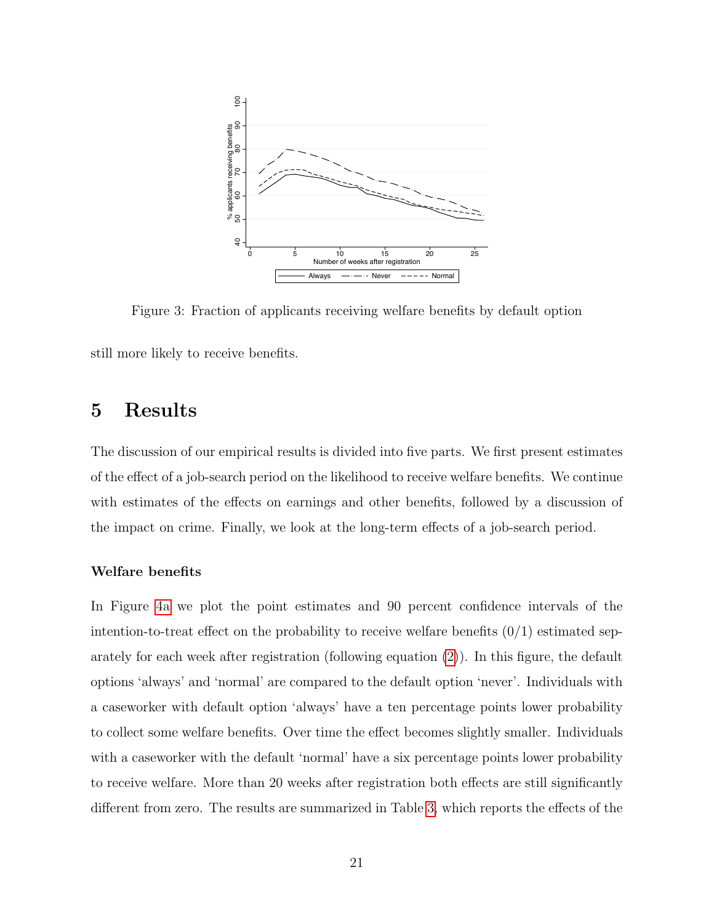<span id="page-22-1"></span>

Figure 3: Fraction of applicants receiving welfare benefits by default option still more likely to receive benefits.

### <span id="page-22-0"></span>5 Results

The discussion of our empirical results is divided into five parts. We first present estimates of the effect of a job-search period on the likelihood to receive welfare benefits. We continue with estimates of the effects on earnings and other benefits, followed by a discussion of the impact on crime. Finally, we look at the long-term effects of a job-search period.

### Welfare benefits

In Figure [4a](#page-23-0) we plot the point estimates and 90 percent confidence intervals of the intention-to-treat effect on the probability to receive welfare benefits  $(0/1)$  estimated separately for each week after registration (following equation [\(2\)](#page-19-1)). In this figure, the default options 'always' and 'normal' are compared to the default option 'never'. Individuals with a caseworker with default option 'always' have a ten percentage points lower probability to collect some welfare benefits. Over time the effect becomes slightly smaller. Individuals with a caseworker with the default 'normal' have a six percentage points lower probability to receive welfare. More than 20 weeks after registration both effects are still significantly different from zero. The results are summarized in Table [3,](#page-24-0) which reports the effects of the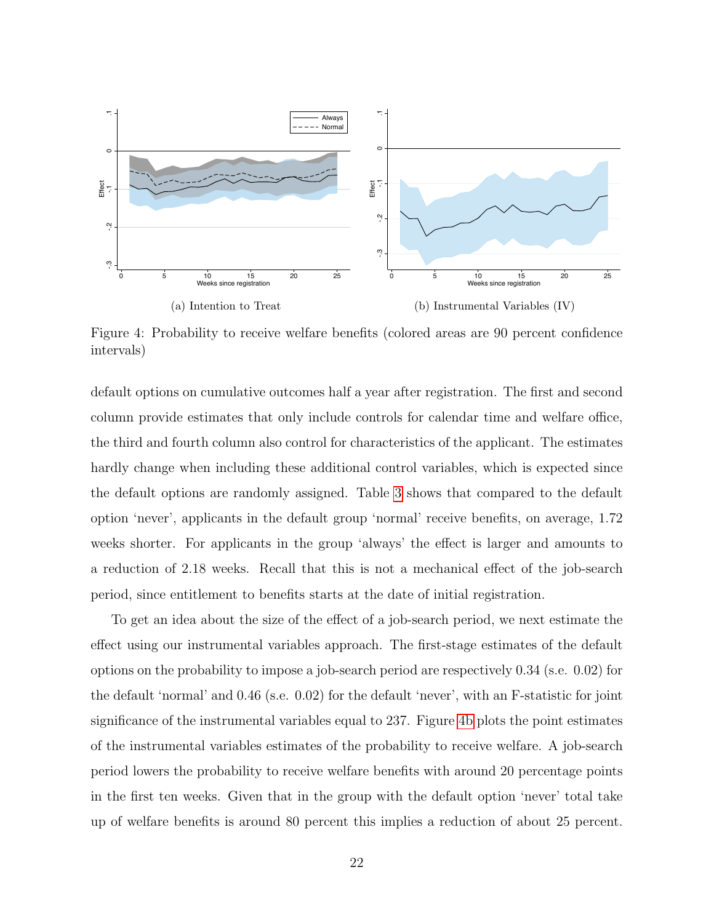<span id="page-23-0"></span>

<span id="page-23-1"></span>Figure 4: Probability to receive welfare benefits (colored areas are 90 percent confidence intervals)

default options on cumulative outcomes half a year after registration. The first and second column provide estimates that only include controls for calendar time and welfare office, the third and fourth column also control for characteristics of the applicant. The estimates hardly change when including these additional control variables, which is expected since the default options are randomly assigned. Table [3](#page-24-0) shows that compared to the default option 'never', applicants in the default group 'normal' receive benefits, on average, 1.72 weeks shorter. For applicants in the group 'always' the effect is larger and amounts to a reduction of 2.18 weeks. Recall that this is not a mechanical effect of the job-search period, since entitlement to benefits starts at the date of initial registration.

To get an idea about the size of the effect of a job-search period, we next estimate the effect using our instrumental variables approach. The first-stage estimates of the default options on the probability to impose a job-search period are respectively 0.34 (s.e. 0.02) for the default 'normal' and 0.46 (s.e. 0.02) for the default 'never', with an F-statistic for joint significance of the instrumental variables equal to 237. Figure [4b](#page-23-1) plots the point estimates of the instrumental variables estimates of the probability to receive welfare. A job-search period lowers the probability to receive welfare benefits with around 20 percentage points in the first ten weeks. Given that in the group with the default option 'never' total take up of welfare benefits is around 80 percent this implies a reduction of about 25 percent.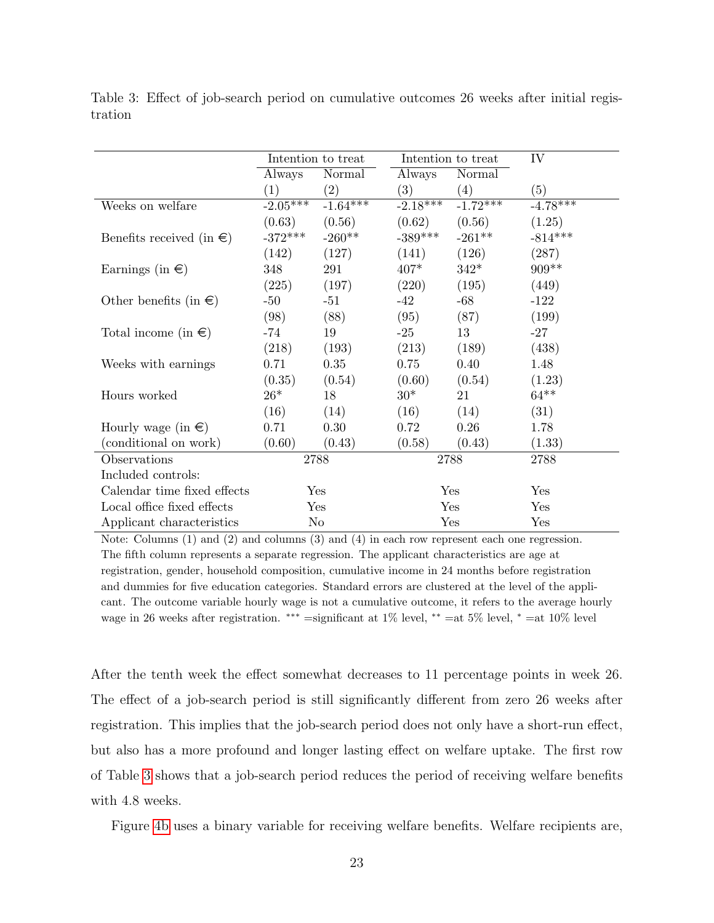|                                    |            | Intention to treat |            | Intention to treat | IV         |
|------------------------------------|------------|--------------------|------------|--------------------|------------|
|                                    | Always     | Normal             | Always     | Normal             |            |
|                                    | (1)        | (2)                | (3)        | (4)                | (5)        |
| Weeks on welfare                   | $-2.05***$ | $-1.64***$         | $-2.18***$ | $-1.72***$         | $-4.78***$ |
|                                    | (0.63)     | (0.56)             | (0.62)     | (0.56)             | (1.25)     |
| Benefits received (in $\epsilon$ ) | $-372***$  | $-260**$           | $-389***$  | $-261**$           | $-814***$  |
|                                    | (142)      | (127)              | (141)      | (126)              | (287)      |
| Earnings (in $\in$ )               | 348        | 291                | $407*$     | $342*$             | 909**      |
|                                    | (225)      | (197)              | (220)      | (195)              | (449)      |
| Other benefits (in $\epsilon$ )    | $-50$      | $-51$              | $-42$      | $-68$              | $-122$     |
|                                    | (98)       | (88)               | (95)       | (87)               | (199)      |
| Total income (in $\epsilon$ )      | -74        | 19                 | $-25$      | 13                 | $-27$      |
|                                    | (218)      | (193)              | (213)      | (189)              | (438)      |
| Weeks with earnings                | 0.71       | $0.35\,$           | 0.75       | 0.40               | 1.48       |
|                                    | (0.35)     | (0.54)             | (0.60)     | (0.54)             | (1.23)     |
| Hours worked                       | $26*$      | 18                 | $30*$      | 21                 | $64***$    |
|                                    | (16)       | (14)               | (16)       | (14)               | (31)       |
| Hourly wage (in $\epsilon$ )       | 0.71       | 0.30               | 0.72       | 0.26               | 1.78       |
| (conditional on work)              | (0.60)     | (0.43)             | (0.58)     | (0.43)             | (1.33)     |
| Observations                       |            | 2788               |            | 2788               | 2788       |
| Included controls:                 |            |                    |            |                    |            |
| Calendar time fixed effects        |            | Yes                |            | Yes                | Yes        |
| Local office fixed effects         |            | Yes                |            | Yes                | Yes        |
| Applicant characteristics          |            | N <sub>o</sub>     |            | Yes                | Yes        |

<span id="page-24-0"></span>Table 3: Effect of job-search period on cumulative outcomes 26 weeks after initial registration

Note: Columns (1) and (2) and columns (3) and (4) in each row represent each one regression. The fifth column represents a separate regression. The applicant characteristics are age at registration, gender, household composition, cumulative income in 24 months before registration and dummies for five education categories. Standard errors are clustered at the level of the applicant. The outcome variable hourly wage is not a cumulative outcome, it refers to the average hourly wage in 26 weeks after registration. ∗∗∗ =significant at 1% level, ∗∗ =at 5% level, <sup>∗</sup> =at 10% level

After the tenth week the effect somewhat decreases to 11 percentage points in week 26. The effect of a job-search period is still significantly different from zero 26 weeks after registration. This implies that the job-search period does not only have a short-run effect, but also has a more profound and longer lasting effect on welfare uptake. The first row of Table [3](#page-24-0) shows that a job-search period reduces the period of receiving welfare benefits with 4.8 weeks.

Figure [4b](#page-23-1) uses a binary variable for receiving welfare benefits. Welfare recipients are,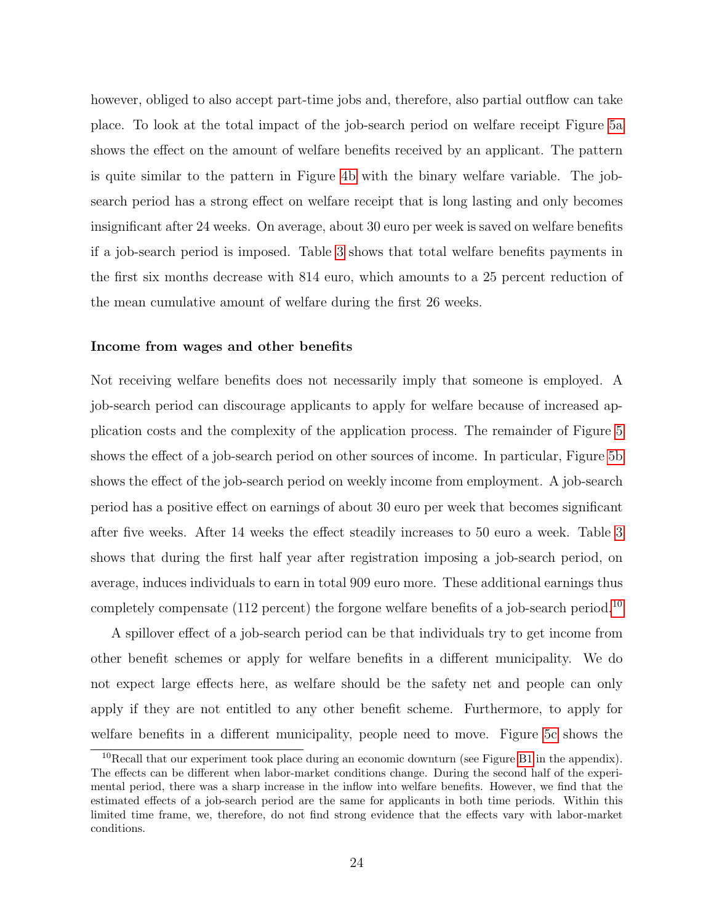however, obliged to also accept part-time jobs and, therefore, also partial outflow can take place. To look at the total impact of the job-search period on welfare receipt Figure [5a](#page-26-0) shows the effect on the amount of welfare benefits received by an applicant. The pattern is quite similar to the pattern in Figure [4b](#page-23-1) with the binary welfare variable. The jobsearch period has a strong effect on welfare receipt that is long lasting and only becomes insignificant after 24 weeks. On average, about 30 euro per week is saved on welfare benefits if a job-search period is imposed. Table [3](#page-24-0) shows that total welfare benefits payments in the first six months decrease with 814 euro, which amounts to a 25 percent reduction of the mean cumulative amount of welfare during the first 26 weeks.

### Income from wages and other benefits

Not receiving welfare benefits does not necessarily imply that someone is employed. A job-search period can discourage applicants to apply for welfare because of increased application costs and the complexity of the application process. The remainder of Figure [5](#page-26-1) shows the effect of a job-search period on other sources of income. In particular, Figure [5b](#page-26-2) shows the effect of the job-search period on weekly income from employment. A job-search period has a positive effect on earnings of about 30 euro per week that becomes significant after five weeks. After 14 weeks the effect steadily increases to 50 euro a week. Table [3](#page-24-0) shows that during the first half year after registration imposing a job-search period, on average, induces individuals to earn in total 909 euro more. These additional earnings thus completely compensate  $(112 \text{ percent})$  the forgone welfare benefits of a job-search period.<sup>[10](#page--1-0)</sup>

A spillover effect of a job-search period can be that individuals try to get income from other benefit schemes or apply for welfare benefits in a different municipality. We do not expect large effects here, as welfare should be the safety net and people can only apply if they are not entitled to any other benefit scheme. Furthermore, to apply for welfare benefits in a different municipality, people need to move. Figure [5c](#page-26-3) shows the

<sup>10</sup>Recall that our experiment took place during an economic downturn (see Figure [B1](#page-49-0) in the appendix). The effects can be different when labor-market conditions change. During the second half of the experimental period, there was a sharp increase in the inflow into welfare benefits. However, we find that the estimated effects of a job-search period are the same for applicants in both time periods. Within this limited time frame, we, therefore, do not find strong evidence that the effects vary with labor-market conditions.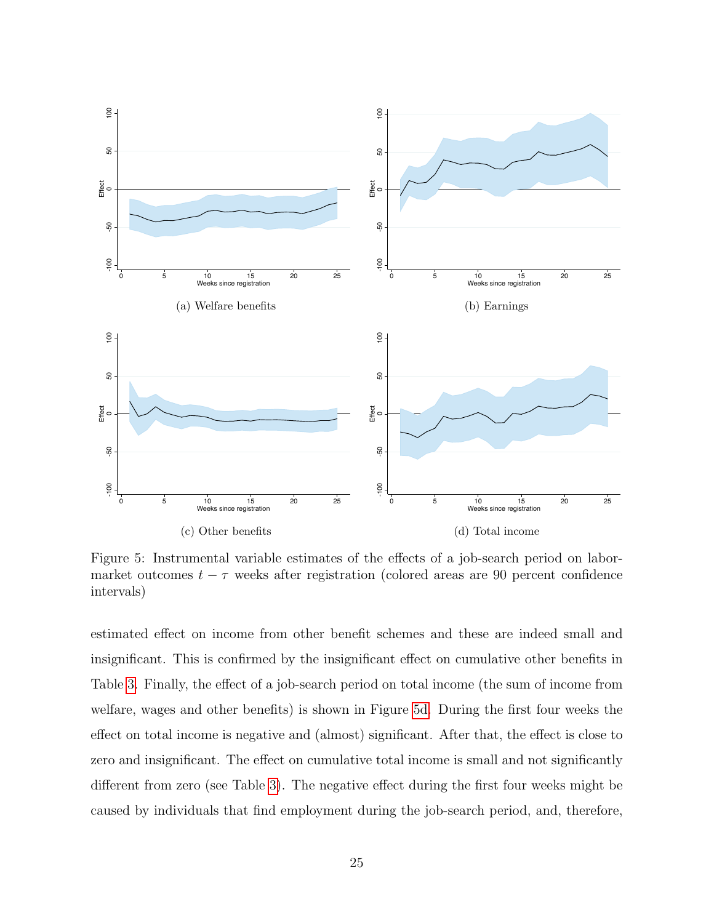<span id="page-26-3"></span><span id="page-26-2"></span><span id="page-26-1"></span><span id="page-26-0"></span>

<span id="page-26-4"></span>Figure 5: Instrumental variable estimates of the effects of a job-search period on labormarket outcomes  $t - \tau$  weeks after registration (colored areas are 90 percent confidence intervals)

estimated effect on income from other benefit schemes and these are indeed small and insignificant. This is confirmed by the insignificant effect on cumulative other benefits in Table [3.](#page-24-0) Finally, the effect of a job-search period on total income (the sum of income from welfare, wages and other benefits) is shown in Figure [5d.](#page-26-4) During the first four weeks the effect on total income is negative and (almost) significant. After that, the effect is close to zero and insignificant. The effect on cumulative total income is small and not significantly different from zero (see Table [3\)](#page-24-0). The negative effect during the first four weeks might be caused by individuals that find employment during the job-search period, and, therefore,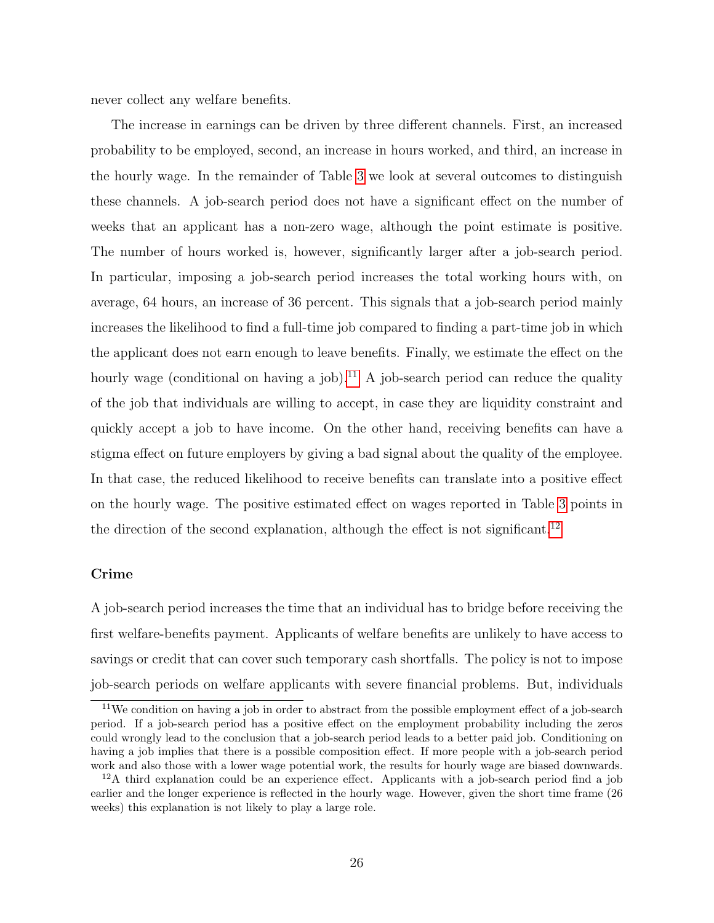never collect any welfare benefits.

The increase in earnings can be driven by three different channels. First, an increased probability to be employed, second, an increase in hours worked, and third, an increase in the hourly wage. In the remainder of Table [3](#page-24-0) we look at several outcomes to distinguish these channels. A job-search period does not have a significant effect on the number of weeks that an applicant has a non-zero wage, although the point estimate is positive. The number of hours worked is, however, significantly larger after a job-search period. In particular, imposing a job-search period increases the total working hours with, on average, 64 hours, an increase of 36 percent. This signals that a job-search period mainly increases the likelihood to find a full-time job compared to finding a part-time job in which the applicant does not earn enough to leave benefits. Finally, we estimate the effect on the hourly wage (conditional on having a job).<sup>[11](#page--1-0)</sup> A job-search period can reduce the quality of the job that individuals are willing to accept, in case they are liquidity constraint and quickly accept a job to have income. On the other hand, receiving benefits can have a stigma effect on future employers by giving a bad signal about the quality of the employee. In that case, the reduced likelihood to receive benefits can translate into a positive effect on the hourly wage. The positive estimated effect on wages reported in Table [3](#page-24-0) points in the direction of the second explanation, although the effect is not significant.<sup>[12](#page--1-0)</sup>

### Crime

A job-search period increases the time that an individual has to bridge before receiving the first welfare-benefits payment. Applicants of welfare benefits are unlikely to have access to savings or credit that can cover such temporary cash shortfalls. The policy is not to impose job-search periods on welfare applicants with severe financial problems. But, individuals

 $11$ We condition on having a job in order to abstract from the possible employment effect of a job-search period. If a job-search period has a positive effect on the employment probability including the zeros could wrongly lead to the conclusion that a job-search period leads to a better paid job. Conditioning on having a job implies that there is a possible composition effect. If more people with a job-search period work and also those with a lower wage potential work, the results for hourly wage are biased downwards.

 $12A$  third explanation could be an experience effect. Applicants with a job-search period find a job earlier and the longer experience is reflected in the hourly wage. However, given the short time frame (26 weeks) this explanation is not likely to play a large role.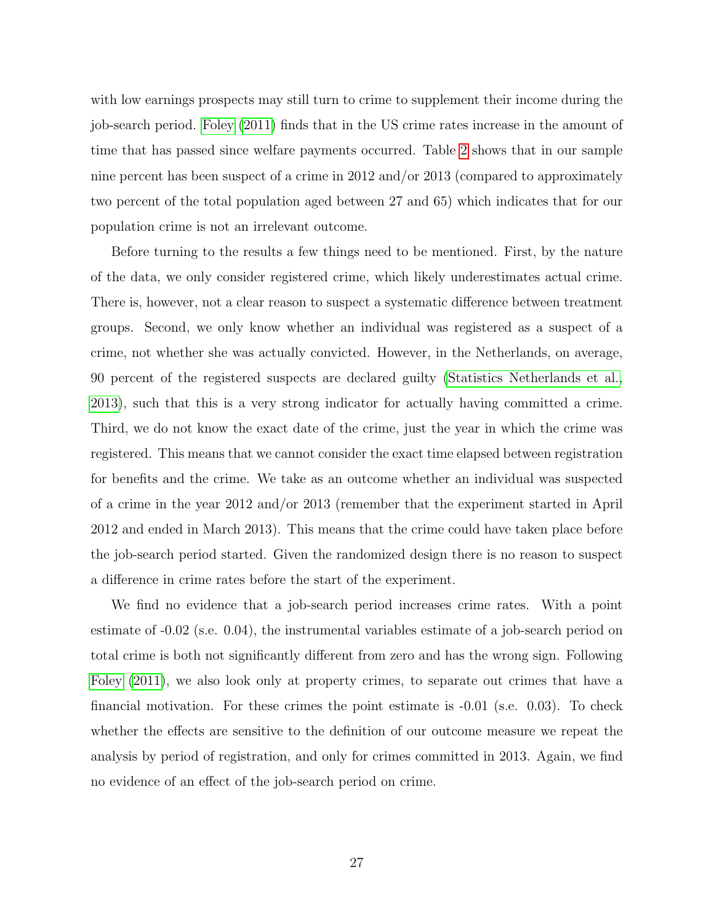with low earnings prospects may still turn to crime to supplement their income during the job-search period. [Foley](#page-43-6) [\(2011\)](#page-43-6) finds that in the US crime rates increase in the amount of time that has passed since welfare payments occurred. Table [2](#page-18-0) shows that in our sample nine percent has been suspect of a crime in 2012 and/or 2013 (compared to approximately two percent of the total population aged between 27 and 65) which indicates that for our population crime is not an irrelevant outcome.

Before turning to the results a few things need to be mentioned. First, by the nature of the data, we only consider registered crime, which likely underestimates actual crime. There is, however, not a clear reason to suspect a systematic difference between treatment groups. Second, we only know whether an individual was registered as a suspect of a crime, not whether she was actually convicted. However, in the Netherlands, on average, 90 percent of the registered suspects are declared guilty [\(Statistics Netherlands et al.,](#page-44-3) [2013\)](#page-44-3), such that this is a very strong indicator for actually having committed a crime. Third, we do not know the exact date of the crime, just the year in which the crime was registered. This means that we cannot consider the exact time elapsed between registration for benefits and the crime. We take as an outcome whether an individual was suspected of a crime in the year 2012 and/or 2013 (remember that the experiment started in April 2012 and ended in March 2013). This means that the crime could have taken place before the job-search period started. Given the randomized design there is no reason to suspect a difference in crime rates before the start of the experiment.

We find no evidence that a job-search period increases crime rates. With a point estimate of -0.02 (s.e. 0.04), the instrumental variables estimate of a job-search period on total crime is both not significantly different from zero and has the wrong sign. Following [Foley](#page-43-6) [\(2011\)](#page-43-6), we also look only at property crimes, to separate out crimes that have a financial motivation. For these crimes the point estimate is -0.01 (s.e. 0.03). To check whether the effects are sensitive to the definition of our outcome measure we repeat the analysis by period of registration, and only for crimes committed in 2013. Again, we find no evidence of an effect of the job-search period on crime.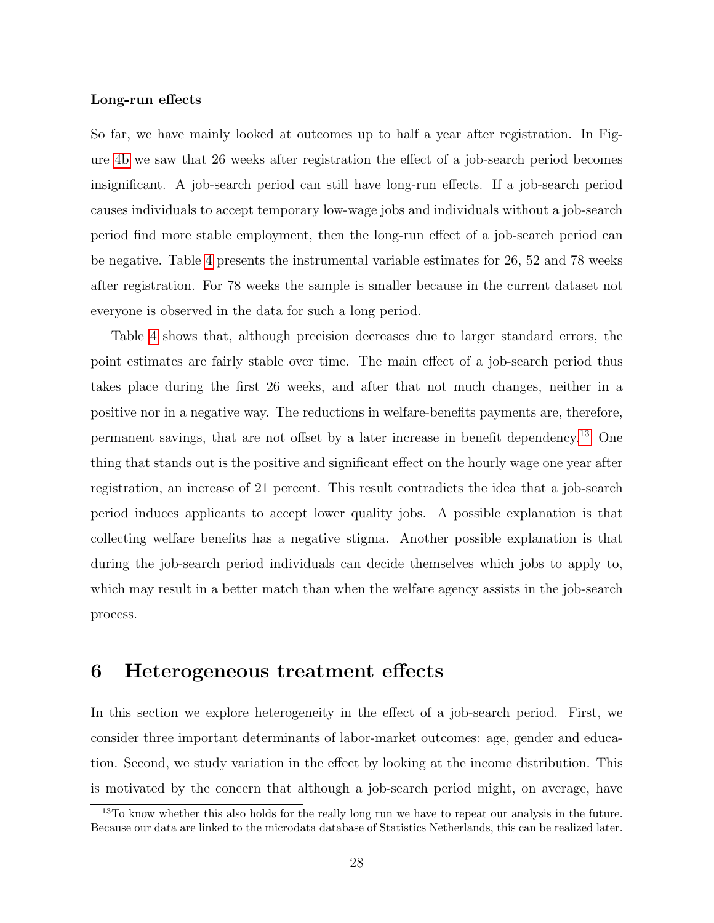#### Long-run effects

So far, we have mainly looked at outcomes up to half a year after registration. In Figure [4b](#page-23-1) we saw that 26 weeks after registration the effect of a job-search period becomes insignificant. A job-search period can still have long-run effects. If a job-search period causes individuals to accept temporary low-wage jobs and individuals without a job-search period find more stable employment, then the long-run effect of a job-search period can be negative. Table [4](#page-30-0) presents the instrumental variable estimates for 26, 52 and 78 weeks after registration. For 78 weeks the sample is smaller because in the current dataset not everyone is observed in the data for such a long period.

Table [4](#page-30-0) shows that, although precision decreases due to larger standard errors, the point estimates are fairly stable over time. The main effect of a job-search period thus takes place during the first 26 weeks, and after that not much changes, neither in a positive nor in a negative way. The reductions in welfare-benefits payments are, therefore, permanent savings, that are not offset by a later increase in benefit dependency.[13](#page--1-0) One thing that stands out is the positive and significant effect on the hourly wage one year after registration, an increase of 21 percent. This result contradicts the idea that a job-search period induces applicants to accept lower quality jobs. A possible explanation is that collecting welfare benefits has a negative stigma. Another possible explanation is that during the job-search period individuals can decide themselves which jobs to apply to, which may result in a better match than when the welfare agency assists in the job-search process.

### <span id="page-29-0"></span>6 Heterogeneous treatment effects

In this section we explore heterogeneity in the effect of a job-search period. First, we consider three important determinants of labor-market outcomes: age, gender and education. Second, we study variation in the effect by looking at the income distribution. This is motivated by the concern that although a job-search period might, on average, have

<sup>&</sup>lt;sup>13</sup>To know whether this also holds for the really long run we have to repeat our analysis in the future. Because our data are linked to the microdata database of Statistics Netherlands, this can be realized later.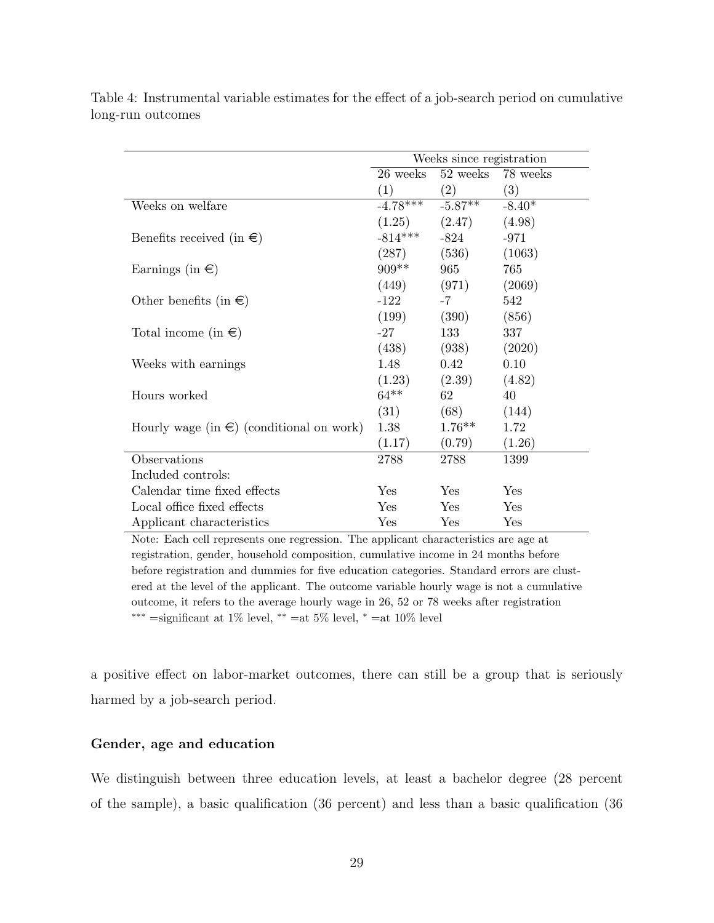|                                                    | Weeks since registration |                   |          |
|----------------------------------------------------|--------------------------|-------------------|----------|
|                                                    | 26 weeks                 | 52 weeks 78 weeks |          |
|                                                    | (1)                      | (2)               | (3)      |
| Weeks on welfare                                   | $-4.78***$               | $-5.87**$         | $-8.40*$ |
|                                                    |                          | $(1.25)$ $(2.47)$ | (4.98)   |
| Benefits received (in $\epsilon$ )                 | $-814***$                | $-824$            | $-971$   |
|                                                    |                          | $(287)$ $(536)$   | (1063)   |
| Earnings (in $\in$ )                               | $909**$                  | 965               | 765      |
|                                                    |                          | $(449)$ $(971)$   | (2069)   |
| Other benefits (in $\epsilon$ )                    | $-122$                   | $-7$              | 542      |
|                                                    | (199)                    | (390)             | (856)    |
| Total income (in $\epsilon$ )                      | $-27$                    | 133               | 337      |
|                                                    | (438)                    | (938)             | (2020)   |
| Weeks with earnings                                | 1.48                     | 0.42              | 0.10     |
|                                                    | (1.23)                   | (2.39)            | (4.82)   |
| Hours worked                                       | $64***$                  | 62                | 40       |
|                                                    | (31)                     | (68)              | (144)    |
| Hourly wage (in $\epsilon$ ) (conditional on work) | 1.38                     | $1.76***$         | 1.72     |
|                                                    | (1.17)                   | (0.79)            | (1.26)   |
| Observations                                       | 2788                     | 2788              | 1399     |
| Included controls:                                 |                          |                   |          |
| Calendar time fixed effects                        | Yes                      | Yes               | Yes      |
| Local office fixed effects                         | Yes                      | Yes               | Yes      |
| Applicant characteristics                          | Yes                      | Yes               | Yes      |

<span id="page-30-0"></span>Table 4: Instrumental variable estimates for the effect of a job-search period on cumulative long-run outcomes

Note: Each cell represents one regression. The applicant characteristics are age at registration, gender, household composition, cumulative income in 24 months before before registration and dummies for five education categories. Standard errors are clustered at the level of the applicant. The outcome variable hourly wage is not a cumulative outcome, it refers to the average hourly wage in 26, 52 or 78 weeks after registration  $***$  =significant at 1% level,  $**$  =at 5% level,  $*$  =at 10% level

a positive effect on labor-market outcomes, there can still be a group that is seriously harmed by a job-search period.

### Gender, age and education

We distinguish between three education levels, at least a bachelor degree (28 percent of the sample), a basic qualification (36 percent) and less than a basic qualification (36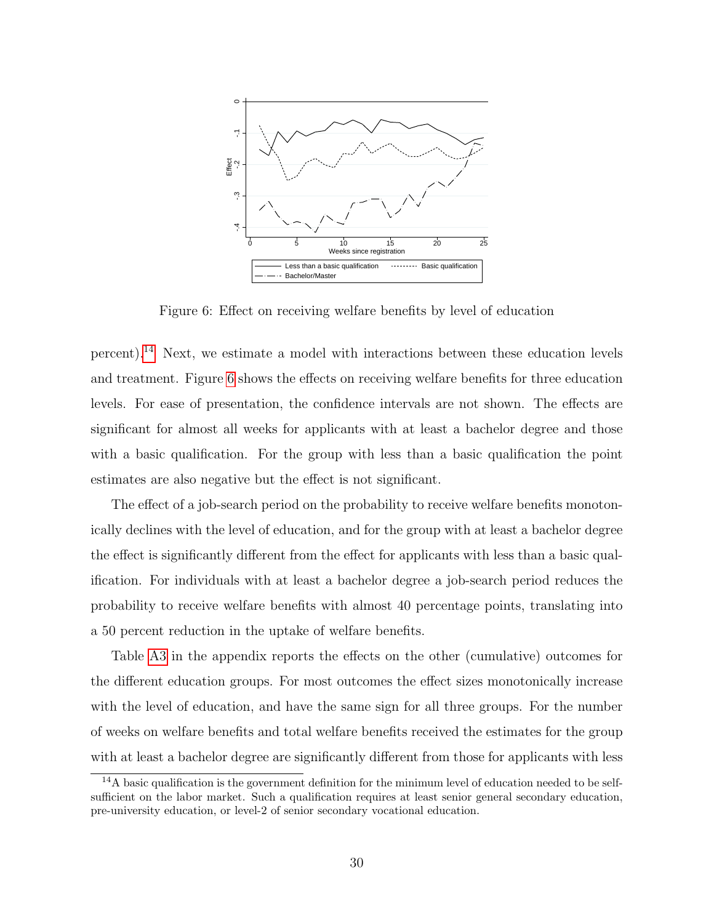<span id="page-31-0"></span>

Figure 6: Effect on receiving welfare benefits by level of education

percent).[14](#page--1-0) Next, we estimate a model with interactions between these education levels and treatment. Figure [6](#page-31-0) shows the effects on receiving welfare benefits for three education levels. For ease of presentation, the confidence intervals are not shown. The effects are significant for almost all weeks for applicants with at least a bachelor degree and those with a basic qualification. For the group with less than a basic qualification the point estimates are also negative but the effect is not significant.

The effect of a job-search period on the probability to receive welfare benefits monotonically declines with the level of education, and for the group with at least a bachelor degree the effect is significantly different from the effect for applicants with less than a basic qualification. For individuals with at least a bachelor degree a job-search period reduces the probability to receive welfare benefits with almost 40 percentage points, translating into a 50 percent reduction in the uptake of welfare benefits.

Table [A3](#page-47-0) in the appendix reports the effects on the other (cumulative) outcomes for the different education groups. For most outcomes the effect sizes monotonically increase with the level of education, and have the same sign for all three groups. For the number of weeks on welfare benefits and total welfare benefits received the estimates for the group with at least a bachelor degree are significantly different from those for applicants with less

 $14A$  basic qualification is the government definition for the minimum level of education needed to be selfsufficient on the labor market. Such a qualification requires at least senior general secondary education, pre-university education, or level-2 of senior secondary vocational education.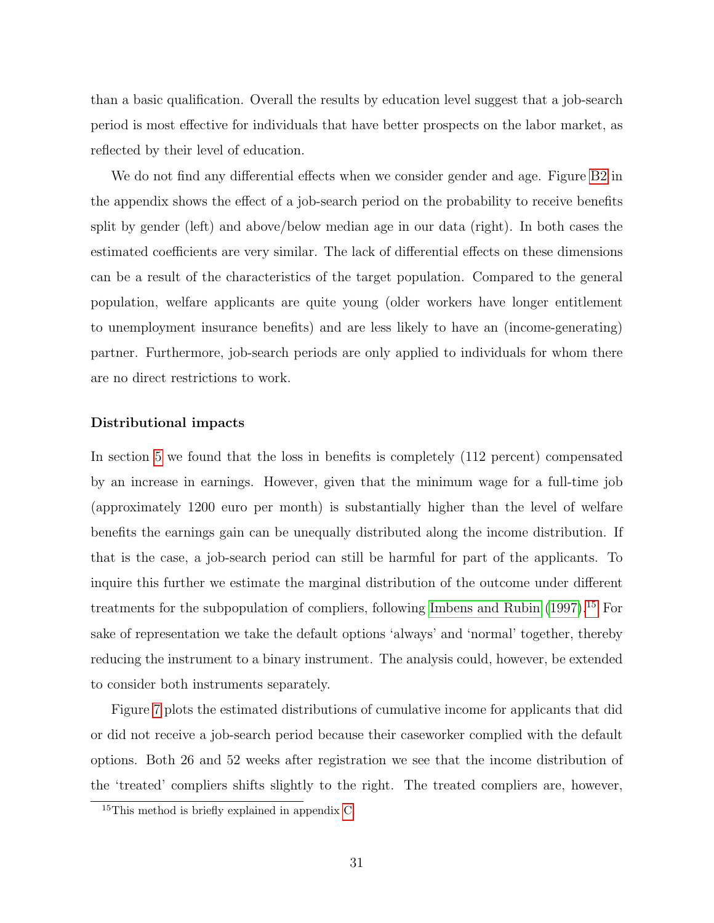than a basic qualification. Overall the results by education level suggest that a job-search period is most effective for individuals that have better prospects on the labor market, as reflected by their level of education.

We do not find any differential effects when we consider gender and age. Figure [B2](#page-49-1) in the appendix shows the effect of a job-search period on the probability to receive benefits split by gender (left) and above/below median age in our data (right). In both cases the estimated coefficients are very similar. The lack of differential effects on these dimensions can be a result of the characteristics of the target population. Compared to the general population, welfare applicants are quite young (older workers have longer entitlement to unemployment insurance benefits) and are less likely to have an (income-generating) partner. Furthermore, job-search periods are only applied to individuals for whom there are no direct restrictions to work.

### Distributional impacts

In section [5](#page-22-0) we found that the loss in benefits is completely (112 percent) compensated by an increase in earnings. However, given that the minimum wage for a full-time job (approximately 1200 euro per month) is substantially higher than the level of welfare benefits the earnings gain can be unequally distributed along the income distribution. If that is the case, a job-search period can still be harmful for part of the applicants. To inquire this further we estimate the marginal distribution of the outcome under different treatments for the subpopulation of compliers, following [Imbens and Rubin](#page-43-7)  $(1997)$ <sup>[15](#page--1-0)</sup> For sake of representation we take the default options 'always' and 'normal' together, thereby reducing the instrument to a binary instrument. The analysis could, however, be extended to consider both instruments separately.

Figure [7](#page-33-0) plots the estimated distributions of cumulative income for applicants that did or did not receive a job-search period because their caseworker complied with the default options. Both 26 and 52 weeks after registration we see that the income distribution of the 'treated' compliers shifts slightly to the right. The treated compliers are, however,

<sup>15</sup>This method is briefly explained in appendix [C.](#page-50-0)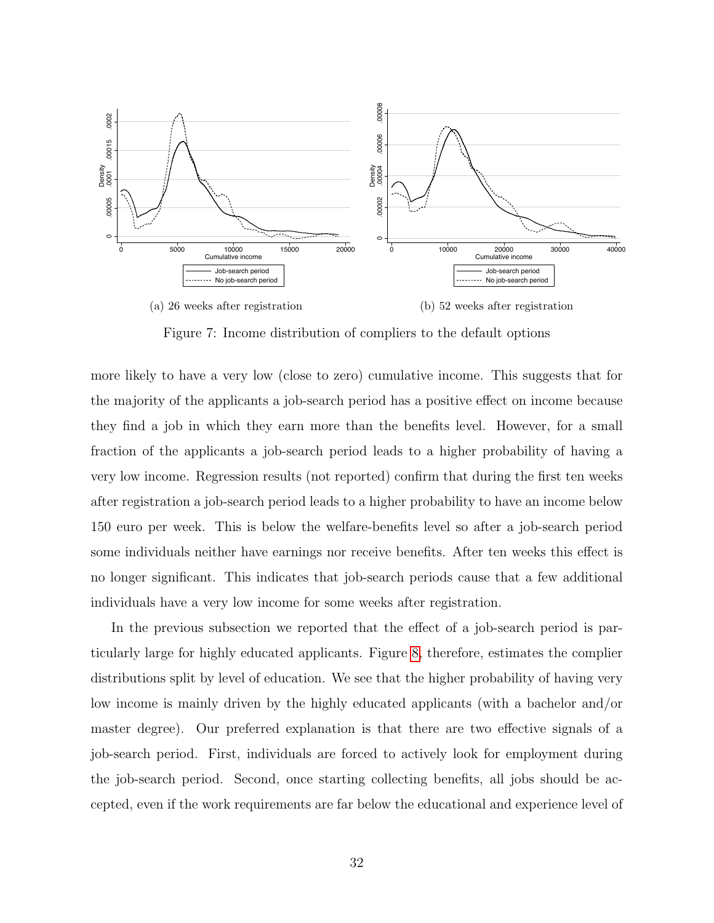<span id="page-33-0"></span>

Figure 7: Income distribution of compliers to the default options

more likely to have a very low (close to zero) cumulative income. This suggests that for the majority of the applicants a job-search period has a positive effect on income because they find a job in which they earn more than the benefits level. However, for a small fraction of the applicants a job-search period leads to a higher probability of having a very low income. Regression results (not reported) confirm that during the first ten weeks after registration a job-search period leads to a higher probability to have an income below 150 euro per week. This is below the welfare-benefits level so after a job-search period some individuals neither have earnings nor receive benefits. After ten weeks this effect is no longer significant. This indicates that job-search periods cause that a few additional individuals have a very low income for some weeks after registration.

In the previous subsection we reported that the effect of a job-search period is particularly large for highly educated applicants. Figure [8,](#page-34-1) therefore, estimates the complier distributions split by level of education. We see that the higher probability of having very low income is mainly driven by the highly educated applicants (with a bachelor and/or master degree). Our preferred explanation is that there are two effective signals of a job-search period. First, individuals are forced to actively look for employment during the job-search period. Second, once starting collecting benefits, all jobs should be accepted, even if the work requirements are far below the educational and experience level of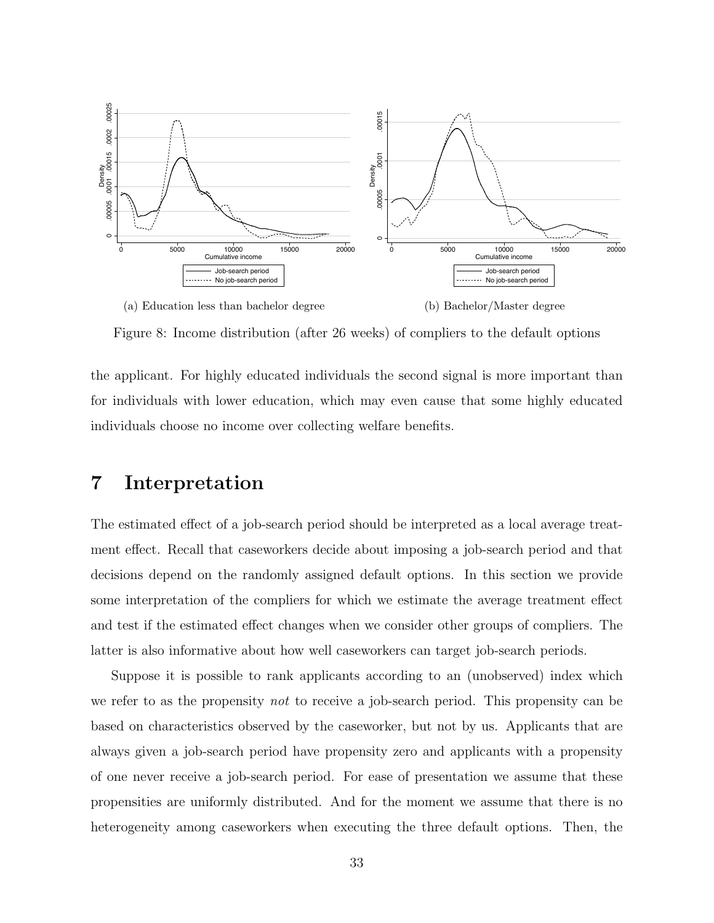<span id="page-34-1"></span>

(b) Bachelor/Master degree

Figure 8: Income distribution (after 26 weeks) of compliers to the default options

the applicant. For highly educated individuals the second signal is more important than for individuals with lower education, which may even cause that some highly educated individuals choose no income over collecting welfare benefits.

# <span id="page-34-0"></span>7 Interpretation

The estimated effect of a job-search period should be interpreted as a local average treatment effect. Recall that caseworkers decide about imposing a job-search period and that decisions depend on the randomly assigned default options. In this section we provide some interpretation of the compliers for which we estimate the average treatment effect and test if the estimated effect changes when we consider other groups of compliers. The latter is also informative about how well caseworkers can target job-search periods.

Suppose it is possible to rank applicants according to an (unobserved) index which we refer to as the propensity *not* to receive a job-search period. This propensity can be based on characteristics observed by the caseworker, but not by us. Applicants that are always given a job-search period have propensity zero and applicants with a propensity of one never receive a job-search period. For ease of presentation we assume that these propensities are uniformly distributed. And for the moment we assume that there is no heterogeneity among caseworkers when executing the three default options. Then, the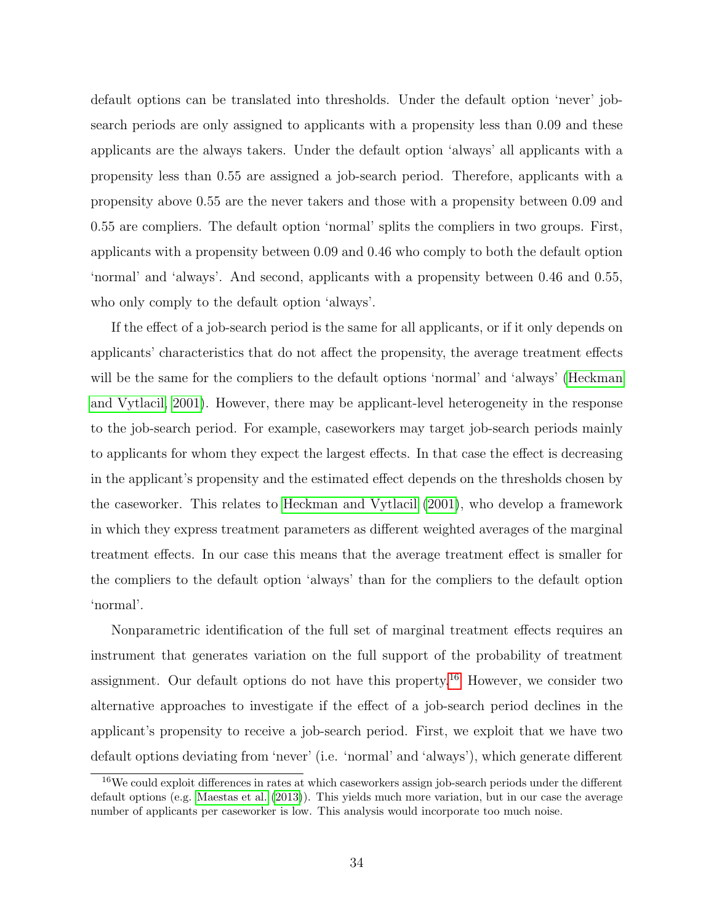default options can be translated into thresholds. Under the default option 'never' jobsearch periods are only assigned to applicants with a propensity less than 0.09 and these applicants are the always takers. Under the default option 'always' all applicants with a propensity less than 0.55 are assigned a job-search period. Therefore, applicants with a propensity above 0.55 are the never takers and those with a propensity between 0.09 and 0.55 are compliers. The default option 'normal' splits the compliers in two groups. First, applicants with a propensity between 0.09 and 0.46 who comply to both the default option 'normal' and 'always'. And second, applicants with a propensity between 0.46 and 0.55, who only comply to the default option 'always'.

If the effect of a job-search period is the same for all applicants, or if it only depends on applicants' characteristics that do not affect the propensity, the average treatment effects will be the same for the compliers to the default options 'normal' and 'always' [\(Heckman](#page-43-8) [and Vytlacil, 2001\)](#page-43-8). However, there may be applicant-level heterogeneity in the response to the job-search period. For example, caseworkers may target job-search periods mainly to applicants for whom they expect the largest effects. In that case the effect is decreasing in the applicant's propensity and the estimated effect depends on the thresholds chosen by the caseworker. This relates to [Heckman and Vytlacil](#page-43-8) [\(2001\)](#page-43-8), who develop a framework in which they express treatment parameters as different weighted averages of the marginal treatment effects. In our case this means that the average treatment effect is smaller for the compliers to the default option 'always' than for the compliers to the default option 'normal'.

Nonparametric identification of the full set of marginal treatment effects requires an instrument that generates variation on the full support of the probability of treatment assignment. Our default options do not have this property.[16](#page--1-0) However, we consider two alternative approaches to investigate if the effect of a job-search period declines in the applicant's propensity to receive a job-search period. First, we exploit that we have two default options deviating from 'never' (i.e. 'normal' and 'always'), which generate different

<sup>&</sup>lt;sup>16</sup>We could exploit differences in rates at which caseworkers assign job-search periods under the different default options (e.g. [Maestas et al.](#page-43-5) [\(2013\)](#page-43-5)). This yields much more variation, but in our case the average number of applicants per caseworker is low. This analysis would incorporate too much noise.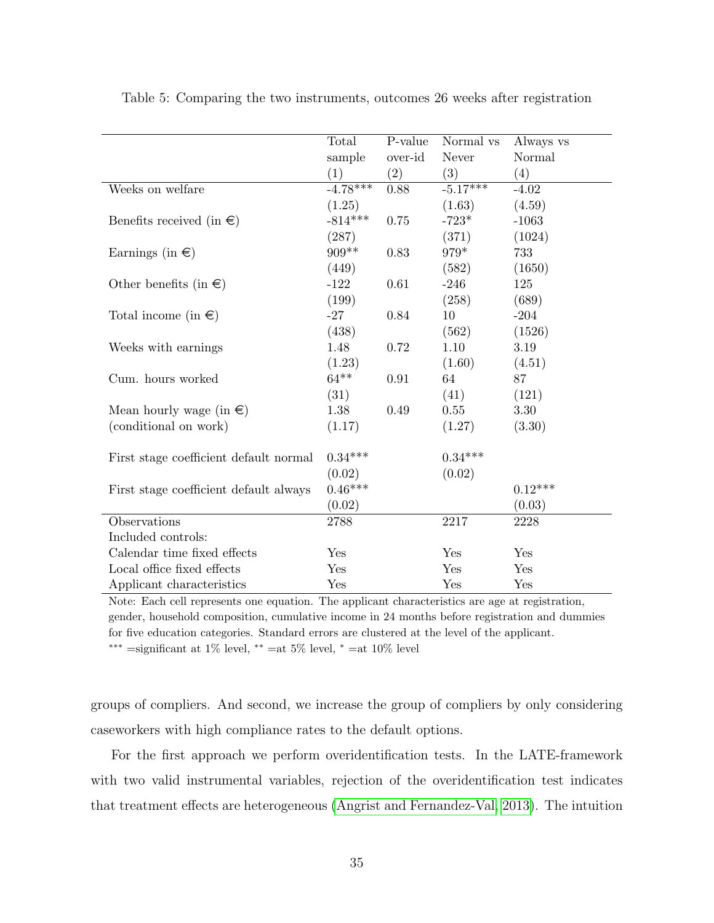|                                        | Total            | P-value | Normal vs  | Always vs |
|----------------------------------------|------------------|---------|------------|-----------|
|                                        | sample           | over-id | Never      | Normal    |
|                                        | (1)              | (2)     | (3)        | (4)       |
| Weeks on welfare                       | $-4.78***$       | 0.88    | $-5.17***$ | $-4.02$   |
|                                        | (1.25)           |         | (1.63)     | (4.59)    |
| Benefits received (in $\epsilon$ )     | $-814***$        | 0.75    | $-723*$    | $-1063$   |
|                                        | (287)            |         | (371)      | (1024)    |
| Earnings (in $\in$ )                   | $909^{\ast\ast}$ | 0.83    | $979*$     | 733       |
|                                        | (449)            |         | (582)      | (1650)    |
| Other benefits (in $\epsilon$ )        | $-122$           | 0.61    | $-246$     | 125       |
|                                        | (199)            |         | (258)      | (689)     |
| Total income (in $\epsilon$ )          | $-27$            | 0.84    | 10         | $-204$    |
|                                        | (438)            |         | (562)      | (1526)    |
| Weeks with earnings                    | 1.48             | 0.72    | 1.10       | 3.19      |
|                                        | (1.23)           |         | (1.60)     | (4.51)    |
| Cum. hours worked                      | $64***$          | 0.91    | 64         | 87        |
|                                        | (31)             |         | (41)       | (121)     |
| Mean hourly wage (in $\epsilon$ )      | 1.38             | 0.49    | 0.55       | 3.30      |
| (conditional on work)                  | (1.17)           |         | (1.27)     | (3.30)    |
|                                        |                  |         |            |           |
| First stage coefficient default normal | $0.34***$        |         | $0.34***$  |           |
|                                        | (0.02)           |         | (0.02)     |           |
| First stage coefficient default always | $0.46***$        |         |            | $0.12***$ |
|                                        | (0.02)           |         |            | (0.03)    |
| Observations                           | 2788             |         | 2217       | 2228      |
| Included controls:                     |                  |         |            |           |
| Calendar time fixed effects            | Yes              |         | Yes        | Yes       |
| Local office fixed effects             | Yes              |         | Yes        | Yes       |
| Applicant characteristics              | Yes              |         | Yes        | Yes       |

<span id="page-36-0"></span>Table 5: Comparing the two instruments, outcomes 26 weeks after registration

Note: Each cell represents one equation. The applicant characteristics are age at registration, gender, household composition, cumulative income in 24 months before registration and dummies for five education categories. Standard errors are clustered at the level of the applicant.  $***$  =significant at 1% level,  $**$  =at 5% level,  $*$  =at 10% level

groups of compliers. And second, we increase the group of compliers by only considering caseworkers with high compliance rates to the default options.

For the first approach we perform overidentification tests. In the LATE-framework with two valid instrumental variables, rejection of the overidentification test indicates that treatment effects are heterogeneous [\(Angrist and Fernandez-Val, 2013\)](#page-42-8). The intuition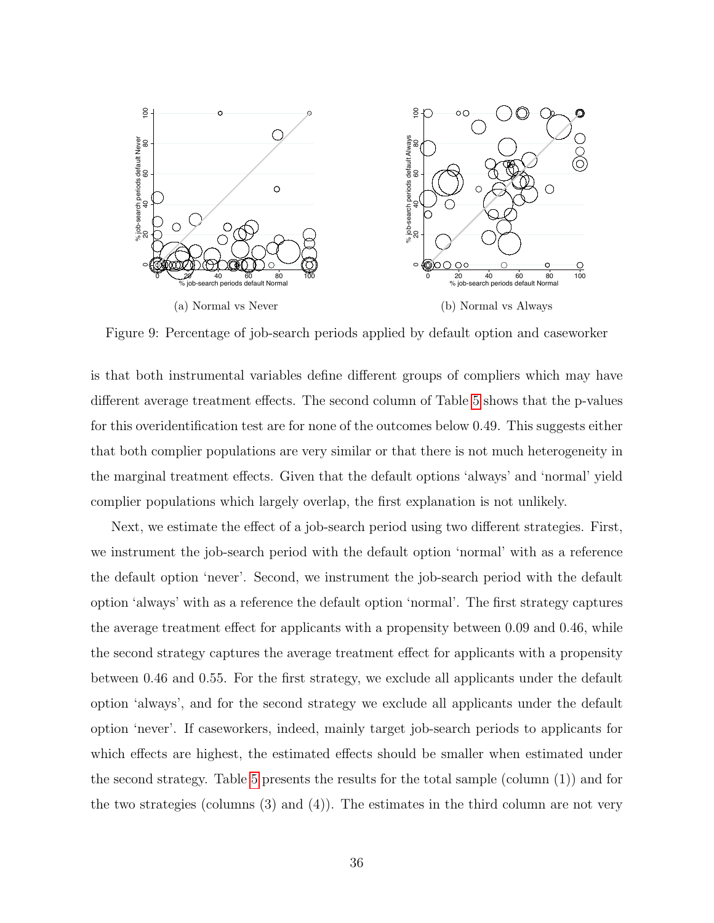<span id="page-37-0"></span>

<span id="page-37-1"></span>Figure 9: Percentage of job-search periods applied by default option and caseworker

is that both instrumental variables define different groups of compliers which may have different average treatment effects. The second column of Table [5](#page-36-0) shows that the p-values for this overidentification test are for none of the outcomes below 0.49. This suggests either that both complier populations are very similar or that there is not much heterogeneity in the marginal treatment effects. Given that the default options 'always' and 'normal' yield complier populations which largely overlap, the first explanation is not unlikely.

Next, we estimate the effect of a job-search period using two different strategies. First, we instrument the job-search period with the default option 'normal' with as a reference the default option 'never'. Second, we instrument the job-search period with the default option 'always' with as a reference the default option 'normal'. The first strategy captures the average treatment effect for applicants with a propensity between 0.09 and 0.46, while the second strategy captures the average treatment effect for applicants with a propensity between 0.46 and 0.55. For the first strategy, we exclude all applicants under the default option 'always', and for the second strategy we exclude all applicants under the default option 'never'. If caseworkers, indeed, mainly target job-search periods to applicants for which effects are highest, the estimated effects should be smaller when estimated under the second strategy. Table [5](#page-36-0) presents the results for the total sample (column (1)) and for the two strategies (columns (3) and (4)). The estimates in the third column are not very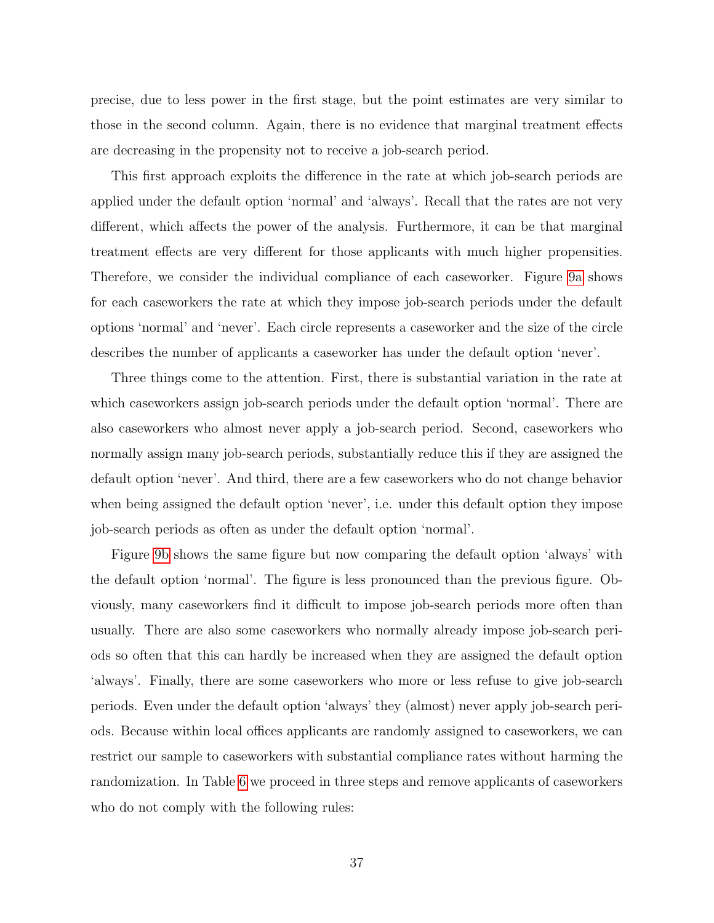precise, due to less power in the first stage, but the point estimates are very similar to those in the second column. Again, there is no evidence that marginal treatment effects are decreasing in the propensity not to receive a job-search period.

This first approach exploits the difference in the rate at which job-search periods are applied under the default option 'normal' and 'always'. Recall that the rates are not very different, which affects the power of the analysis. Furthermore, it can be that marginal treatment effects are very different for those applicants with much higher propensities. Therefore, we consider the individual compliance of each caseworker. Figure [9a](#page-37-0) shows for each caseworkers the rate at which they impose job-search periods under the default options 'normal' and 'never'. Each circle represents a caseworker and the size of the circle describes the number of applicants a caseworker has under the default option 'never'.

Three things come to the attention. First, there is substantial variation in the rate at which caseworkers assign job-search periods under the default option 'normal'. There are also caseworkers who almost never apply a job-search period. Second, caseworkers who normally assign many job-search periods, substantially reduce this if they are assigned the default option 'never'. And third, there are a few caseworkers who do not change behavior when being assigned the default option 'never', i.e. under this default option they impose job-search periods as often as under the default option 'normal'.

Figure [9b](#page-37-1) shows the same figure but now comparing the default option 'always' with the default option 'normal'. The figure is less pronounced than the previous figure. Obviously, many caseworkers find it difficult to impose job-search periods more often than usually. There are also some caseworkers who normally already impose job-search periods so often that this can hardly be increased when they are assigned the default option 'always'. Finally, there are some caseworkers who more or less refuse to give job-search periods. Even under the default option 'always' they (almost) never apply job-search periods. Because within local offices applicants are randomly assigned to caseworkers, we can restrict our sample to caseworkers with substantial compliance rates without harming the randomization. In Table [6](#page-39-0) we proceed in three steps and remove applicants of caseworkers who do not comply with the following rules: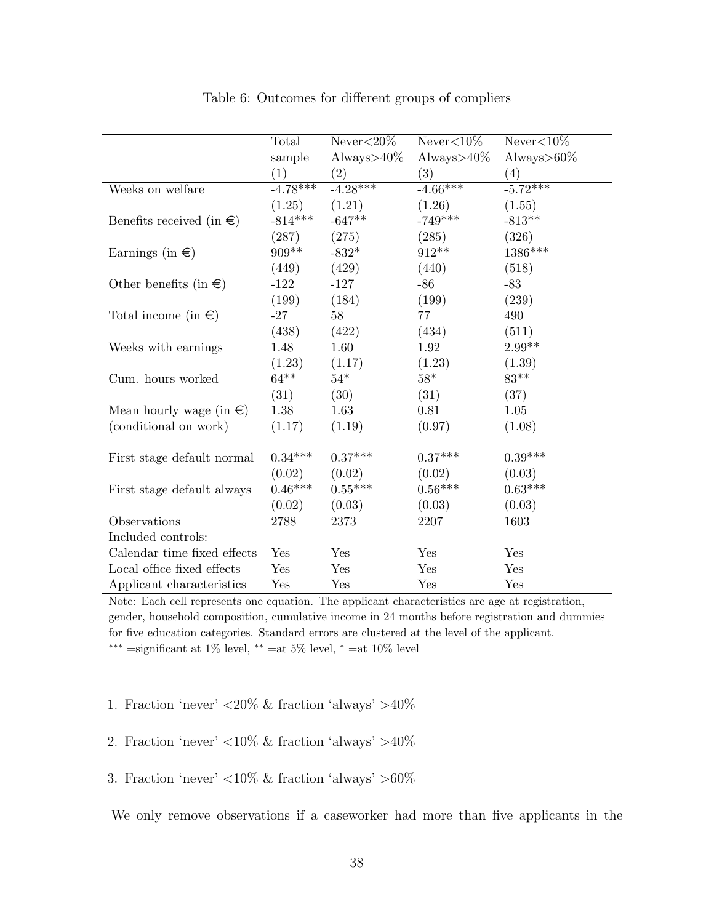<span id="page-39-0"></span>

|                                    | Total      | Never $<$ 20 $\%$ | $Never < 10\%$ | Never $<$ 10 $%$ |
|------------------------------------|------------|-------------------|----------------|------------------|
|                                    | sample     | Always $>40\%$    | Always $>40\%$ | Always $>60\%$   |
|                                    | (1)        | (2)               | (3)            | (4)              |
| Weeks on welfare                   | $-4.78***$ | $-4.28***$        | $-4.66***$     | $-5.72***$       |
|                                    | (1.25)     | (1.21)            | (1.26)         | (1.55)           |
| Benefits received (in $\epsilon$ ) | $-814***$  | $-647**$          | $-749***$      | $-813**$         |
|                                    | (287)      | (275)             | (285)          | (326)            |
| Earnings (in $\epsilon$ )          | 909**      | $-832*$           | $912**$        | 1386***          |
|                                    | (449)      | (429)             | (440)          | (518)            |
| Other benefits (in $\epsilon$ )    | $-122$     | $-127$            | $-86$          | $-83$            |
|                                    | (199)      | (184)             | (199)          | (239)            |
| Total income (in $\epsilon$ )      | $-27$      | 58                | 77             | 490              |
|                                    | (438)      | (422)             | (434)          | (511)            |
| Weeks with earnings                | 1.48       | 1.60              | 1.92           | $2.99**$         |
|                                    | (1.23)     | (1.17)            | (1.23)         | (1.39)           |
| Cum. hours worked                  | $64***$    | $54*$             | $58*$          | 83**             |
|                                    | (31)       | (30)              | (31)           | (37)             |
| Mean hourly wage (in $\epsilon$ )  | 1.38       | 1.63              | 0.81           | 1.05             |
| (conditional on work)              | (1.17)     | (1.19)            | (0.97)         | (1.08)           |
|                                    |            |                   |                |                  |
| First stage default normal         | $0.34***$  | $0.37***$         | $0.37***$      | $0.39***$        |
|                                    | (0.02)     | (0.02)            | (0.02)         | (0.03)           |
| First stage default always         | $0.46***$  | $0.55***$         | $0.56***$      | $0.63***$        |
|                                    | (0.02)     | (0.03)            | (0.03)         | (0.03)           |
| Observations                       | 2788       | 2373              | 2207           | 1603             |
| Included controls:                 |            |                   |                |                  |
| Calendar time fixed effects        | Yes        | Yes               | Yes            | Yes              |
| Local office fixed effects         | Yes        | Yes               | Yes            | Yes              |
| Applicant characteristics          | Yes        | Yes               | Yes            | Yes              |

Table 6: Outcomes for different groups of compliers

Note: Each cell represents one equation. The applicant characteristics are age at registration, gender, household composition, cumulative income in 24 months before registration and dummies for five education categories. Standard errors are clustered at the level of the applicant.  $***$  =significant at 1% level,  $**$  =at 5% level,  $*$  =at 10% level

- 1. Fraction 'never'  $\langle 20\% \&$  fraction 'always'  $>40\%$
- 2. Fraction 'never'  $\langle 10\% \&$  fraction 'always'  $>40\%$
- 3. Fraction 'never' <10%  $\&$  fraction 'always'  ${>}60\%$

We only remove observations if a caseworker had more than five applicants in the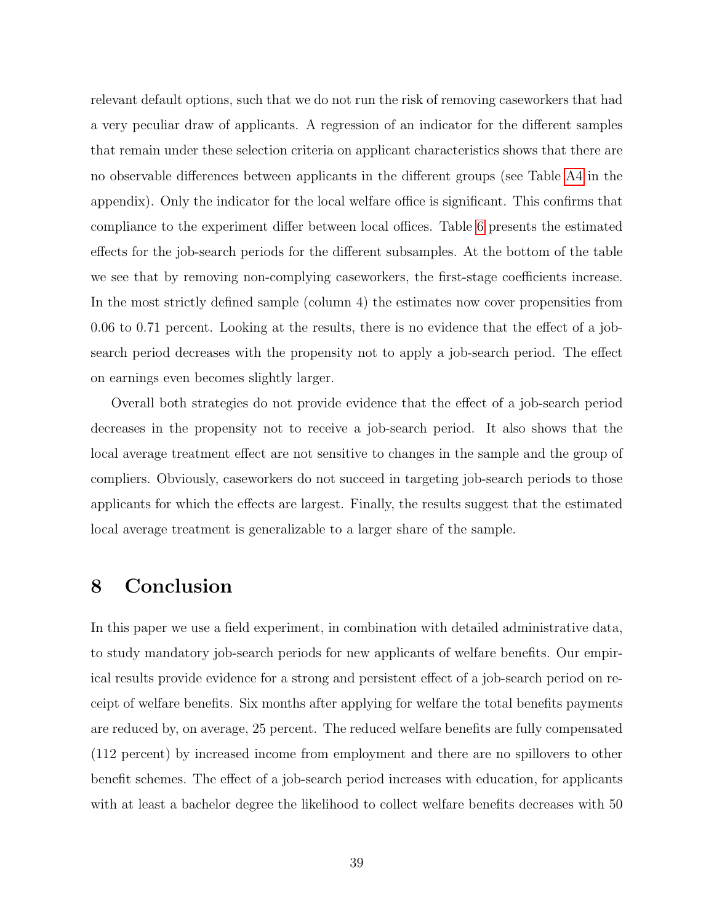relevant default options, such that we do not run the risk of removing caseworkers that had a very peculiar draw of applicants. A regression of an indicator for the different samples that remain under these selection criteria on applicant characteristics shows that there are no observable differences between applicants in the different groups (see Table [A4](#page-48-0) in the appendix). Only the indicator for the local welfare office is significant. This confirms that compliance to the experiment differ between local offices. Table [6](#page-39-0) presents the estimated effects for the job-search periods for the different subsamples. At the bottom of the table we see that by removing non-complying caseworkers, the first-stage coefficients increase. In the most strictly defined sample (column 4) the estimates now cover propensities from 0.06 to 0.71 percent. Looking at the results, there is no evidence that the effect of a jobsearch period decreases with the propensity not to apply a job-search period. The effect on earnings even becomes slightly larger.

Overall both strategies do not provide evidence that the effect of a job-search period decreases in the propensity not to receive a job-search period. It also shows that the local average treatment effect are not sensitive to changes in the sample and the group of compliers. Obviously, caseworkers do not succeed in targeting job-search periods to those applicants for which the effects are largest. Finally, the results suggest that the estimated local average treatment is generalizable to a larger share of the sample.

# <span id="page-40-0"></span>8 Conclusion

In this paper we use a field experiment, in combination with detailed administrative data, to study mandatory job-search periods for new applicants of welfare benefits. Our empirical results provide evidence for a strong and persistent effect of a job-search period on receipt of welfare benefits. Six months after applying for welfare the total benefits payments are reduced by, on average, 25 percent. The reduced welfare benefits are fully compensated (112 percent) by increased income from employment and there are no spillovers to other benefit schemes. The effect of a job-search period increases with education, for applicants with at least a bachelor degree the likelihood to collect welfare benefits decreases with 50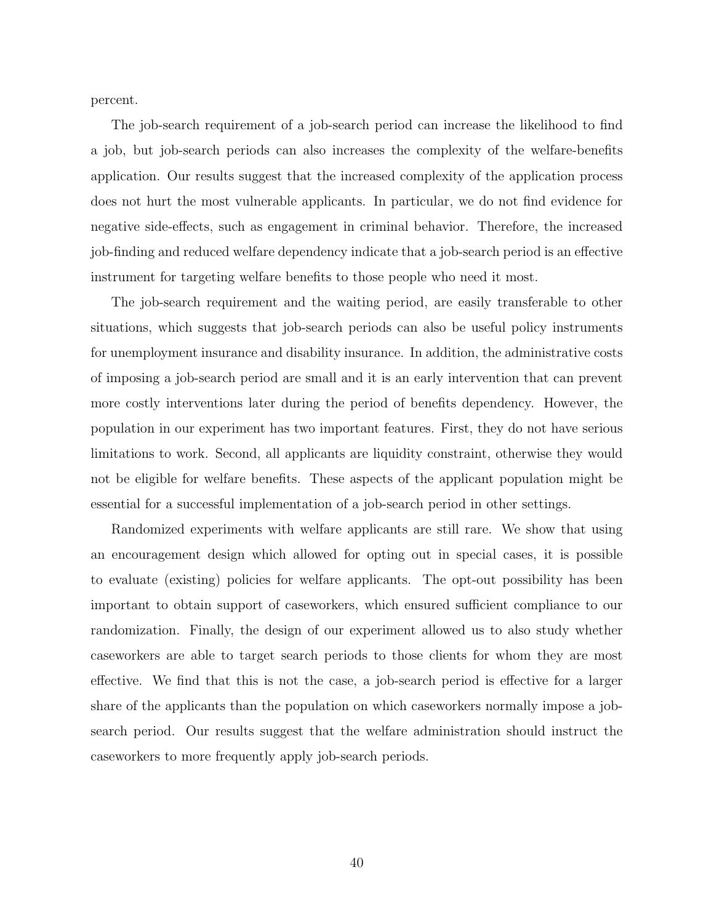percent.

The job-search requirement of a job-search period can increase the likelihood to find a job, but job-search periods can also increases the complexity of the welfare-benefits application. Our results suggest that the increased complexity of the application process does not hurt the most vulnerable applicants. In particular, we do not find evidence for negative side-effects, such as engagement in criminal behavior. Therefore, the increased job-finding and reduced welfare dependency indicate that a job-search period is an effective instrument for targeting welfare benefits to those people who need it most.

The job-search requirement and the waiting period, are easily transferable to other situations, which suggests that job-search periods can also be useful policy instruments for unemployment insurance and disability insurance. In addition, the administrative costs of imposing a job-search period are small and it is an early intervention that can prevent more costly interventions later during the period of benefits dependency. However, the population in our experiment has two important features. First, they do not have serious limitations to work. Second, all applicants are liquidity constraint, otherwise they would not be eligible for welfare benefits. These aspects of the applicant population might be essential for a successful implementation of a job-search period in other settings.

Randomized experiments with welfare applicants are still rare. We show that using an encouragement design which allowed for opting out in special cases, it is possible to evaluate (existing) policies for welfare applicants. The opt-out possibility has been important to obtain support of caseworkers, which ensured sufficient compliance to our randomization. Finally, the design of our experiment allowed us to also study whether caseworkers are able to target search periods to those clients for whom they are most effective. We find that this is not the case, a job-search period is effective for a larger share of the applicants than the population on which caseworkers normally impose a jobsearch period. Our results suggest that the welfare administration should instruct the caseworkers to more frequently apply job-search periods.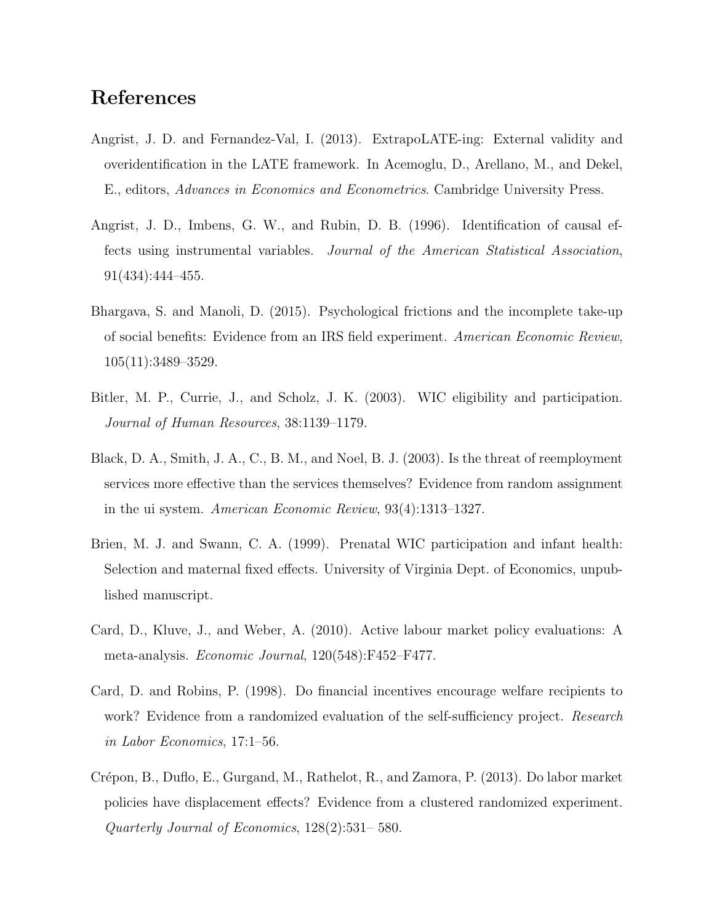# References

- <span id="page-42-8"></span>Angrist, J. D. and Fernandez-Val, I. (2013). ExtrapoLATE-ing: External validity and overidentification in the LATE framework. In Acemoglu, D., Arellano, M., and Dekel, E., editors, Advances in Economics and Econometrics. Cambridge University Press.
- <span id="page-42-7"></span>Angrist, J. D., Imbens, G. W., and Rubin, D. B. (1996). Identification of causal effects using instrumental variables. Journal of the American Statistical Association, 91(434):444–455.
- <span id="page-42-1"></span>Bhargava, S. and Manoli, D. (2015). Psychological frictions and the incomplete take-up of social benefits: Evidence from an IRS field experiment. American Economic Review, 105(11):3489–3529.
- <span id="page-42-2"></span>Bitler, M. P., Currie, J., and Scholz, J. K. (2003). WIC eligibility and participation. Journal of Human Resources, 38:1139–1179.
- <span id="page-42-0"></span>Black, D. A., Smith, J. A., C., B. M., and Noel, B. J. (2003). Is the threat of reemployment services more effective than the services themselves? Evidence from random assignment in the ui system. American Economic Review, 93(4):1313–1327.
- <span id="page-42-3"></span>Brien, M. J. and Swann, C. A. (1999). Prenatal WIC participation and infant health: Selection and maternal fixed effects. University of Virginia Dept. of Economics, unpublished manuscript.
- <span id="page-42-4"></span>Card, D., Kluve, J., and Weber, A. (2010). Active labour market policy evaluations: A meta-analysis. Economic Journal, 120(548):F452–F477.
- <span id="page-42-5"></span>Card, D. and Robins, P. (1998). Do financial incentives encourage welfare recipients to work? Evidence from a randomized evaluation of the self-sufficiency project. Research in Labor Economics, 17:1–56.
- <span id="page-42-6"></span>Crépon, B., Duflo, E., Gurgand, M., Rathelot, R., and Zamora, P. (2013). Do labor market policies have displacement effects? Evidence from a clustered randomized experiment. Quarterly Journal of Economics, 128(2):531– 580.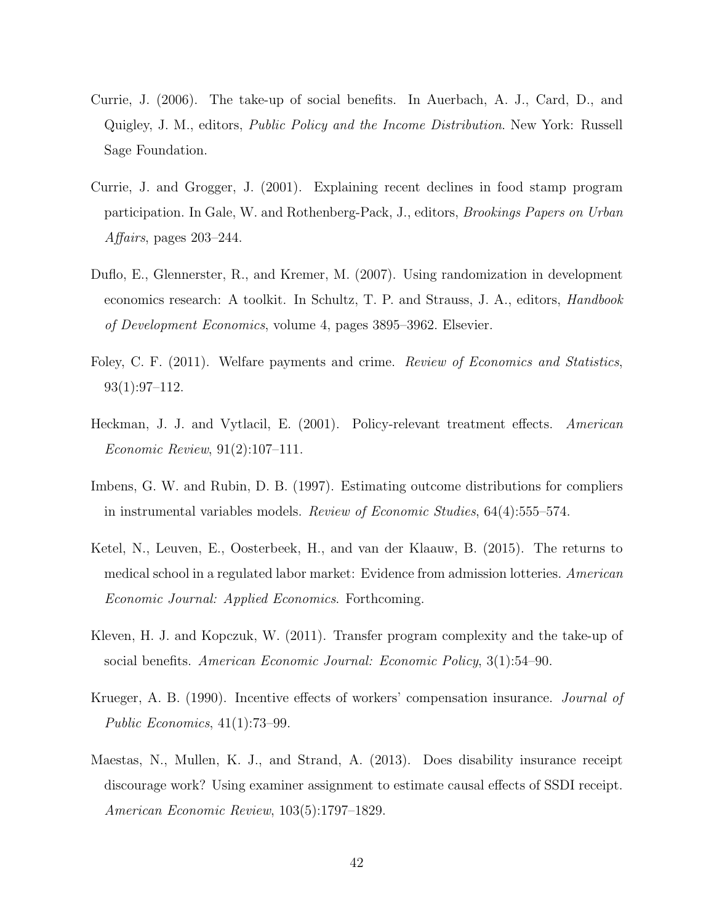- <span id="page-43-0"></span>Currie, J. (2006). The take-up of social benefits. In Auerbach, A. J., Card, D., and Quigley, J. M., editors, Public Policy and the Income Distribution. New York: Russell Sage Foundation.
- <span id="page-43-1"></span>Currie, J. and Grogger, J. (2001). Explaining recent declines in food stamp program participation. In Gale, W. and Rothenberg-Pack, J., editors, Brookings Papers on Urban Affairs, pages  $203-244$ .
- <span id="page-43-4"></span>Duflo, E., Glennerster, R., and Kremer, M. (2007). Using randomization in development economics research: A toolkit. In Schultz, T. P. and Strauss, J. A., editors, Handbook of Development Economics, volume 4, pages 3895–3962. Elsevier.
- <span id="page-43-6"></span>Foley, C. F. (2011). Welfare payments and crime. *Review of Economics and Statistics*, 93(1):97–112.
- <span id="page-43-8"></span>Heckman, J. J. and Vytlacil, E. (2001). Policy-relevant treatment effects. American Economic Review, 91(2):107–111.
- <span id="page-43-7"></span>Imbens, G. W. and Rubin, D. B. (1997). Estimating outcome distributions for compliers in instrumental variables models. Review of Economic Studies, 64(4):555–574.
- <span id="page-43-9"></span>Ketel, N., Leuven, E., Oosterbeek, H., and van der Klaauw, B. (2015). The returns to medical school in a regulated labor market: Evidence from admission lotteries. American Economic Journal: Applied Economics. Forthcoming.
- <span id="page-43-3"></span>Kleven, H. J. and Kopczuk, W. (2011). Transfer program complexity and the take-up of social benefits. American Economic Journal: Economic Policy, 3(1):54–90.
- <span id="page-43-2"></span>Krueger, A. B. (1990). Incentive effects of workers' compensation insurance. Journal of Public Economics, 41(1):73–99.
- <span id="page-43-5"></span>Maestas, N., Mullen, K. J., and Strand, A. (2013). Does disability insurance receipt discourage work? Using examiner assignment to estimate causal effects of SSDI receipt. American Economic Review, 103(5):1797–1829.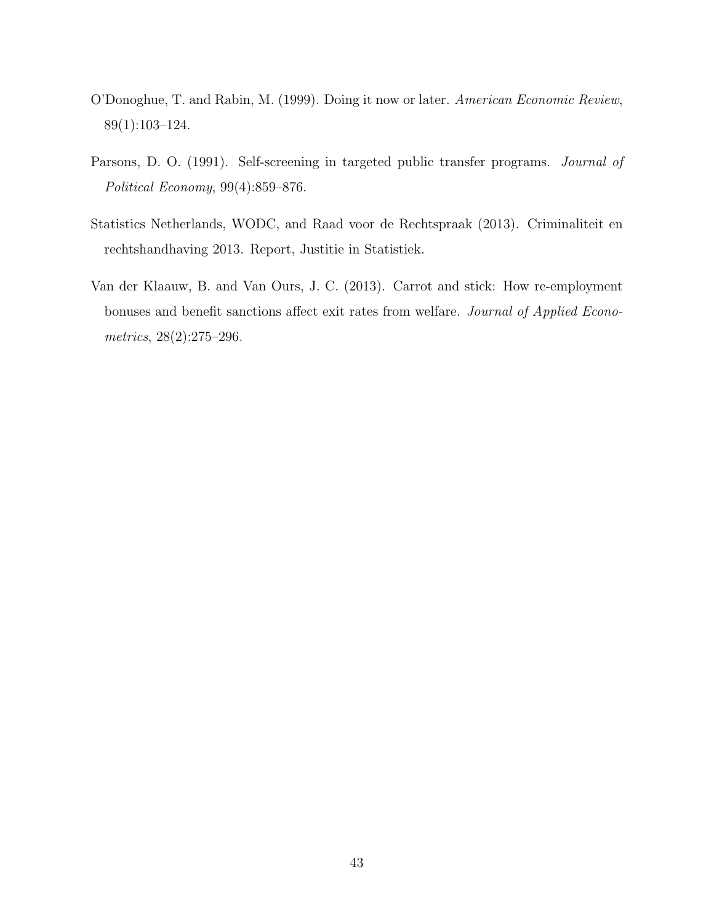- <span id="page-44-1"></span>O'Donoghue, T. and Rabin, M. (1999). Doing it now or later. American Economic Review, 89(1):103–124.
- <span id="page-44-0"></span>Parsons, D. O. (1991). Self-screening in targeted public transfer programs. Journal of Political Economy, 99(4):859–876.
- <span id="page-44-3"></span>Statistics Netherlands, WODC, and Raad voor de Rechtspraak (2013). Criminaliteit en rechtshandhaving 2013. Report, Justitie in Statistiek.
- <span id="page-44-2"></span>Van der Klaauw, B. and Van Ours, J. C. (2013). Carrot and stick: How re-employment bonuses and benefit sanctions affect exit rates from welfare. Journal of Applied Econometrics, 28(2):275–296.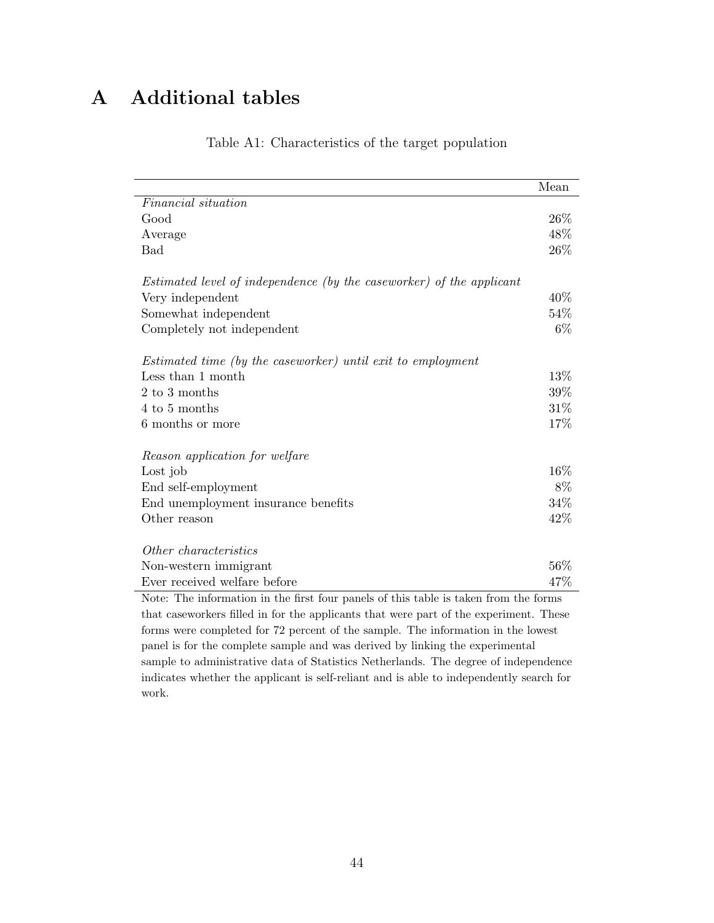# <span id="page-45-0"></span>A Additional tables

 $\overline{a}$ 

|                                                                                       | Mean   |
|---------------------------------------------------------------------------------------|--------|
| Financial situation                                                                   |        |
| Good                                                                                  | $26\%$ |
| Average                                                                               | 48%    |
| <b>Bad</b>                                                                            | 26\%   |
| Estimated level of independence (by the caseworker) of the applicant                  |        |
| Very independent                                                                      | 40\%   |
| Somewhat independent                                                                  | 54%    |
| Completely not independent                                                            | $6\%$  |
| <i>Estimated time (by the caseworker) until exit to employment</i>                    |        |
| Less than 1 month                                                                     | 13%    |
| 2 to 3 months                                                                         | $39\%$ |
| 4 to 5 months                                                                         | 31%    |
| 6 months or more                                                                      | 17%    |
| Reason application for welfare                                                        |        |
| Lost job                                                                              | $16\%$ |
| End self-employment                                                                   | 8%     |
| End unemployment insurance benefits                                                   | 34%    |
| Other reason                                                                          | 42\%   |
| Other characteristics                                                                 |        |
| Non-western immigrant                                                                 | 56%    |
| Ever received welfare before                                                          | 47%    |
| Note: The information in the first four panels of this table is taken from the forms  |        |
| that caseworkers filled in for the applicants that were part of the experiment. These |        |

Table A1: Characteristics of the target population

that caseworkers filled in for the applicants that were part of the experiment. These forms were completed for 72 percent of the sample. The information in the lowest panel is for the complete sample and was derived by linking the experimental sample to administrative data of Statistics Netherlands. The degree of independence indicates whether the applicant is self-reliant and is able to independently search for work.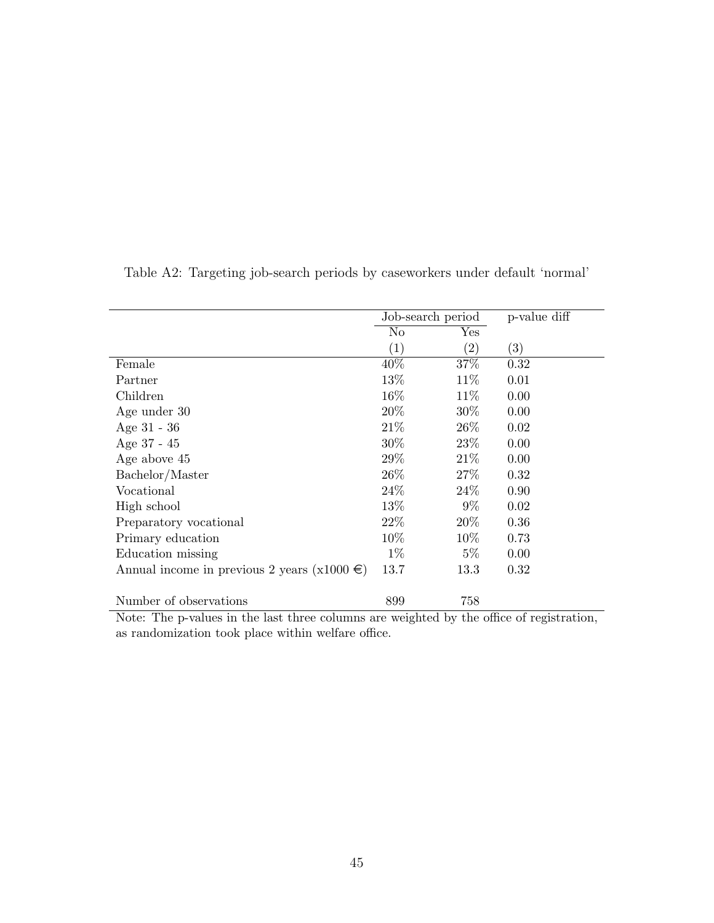| Note: The p rolug in the lect three columns are workted by the effect of registration |
|---------------------------------------------------------------------------------------|
|                                                                                       |

<span id="page-46-0"></span>Table A2: Targeting job-search periods by caseworkers under default 'normal'

Note: The p-values in the last three columns are weighted by the office of registration, as randomization took place within welfare office.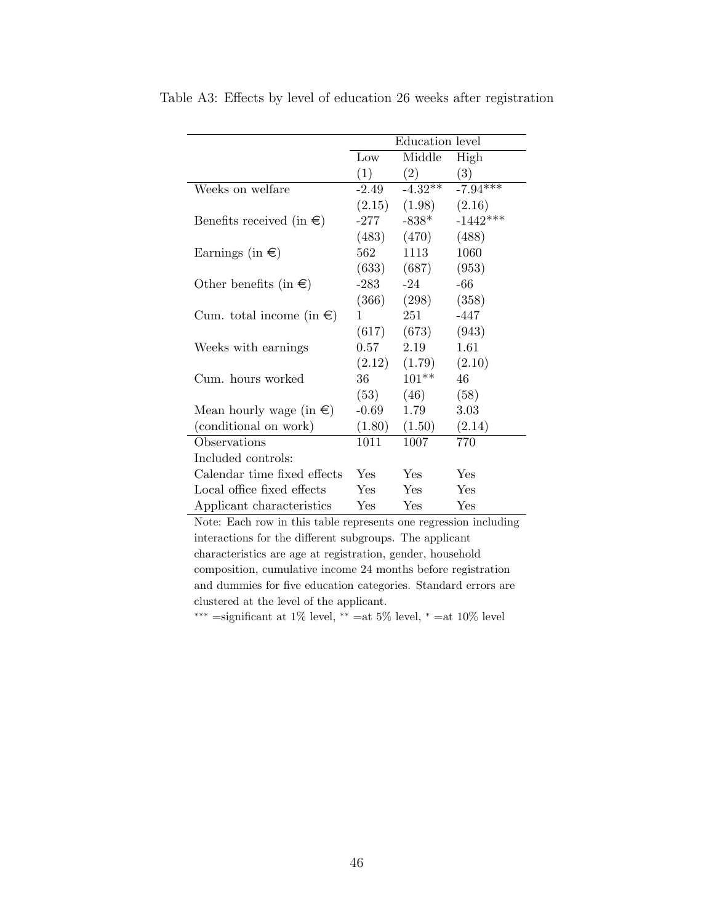|                                                                                                                                            |         | Education level            |            |  |
|--------------------------------------------------------------------------------------------------------------------------------------------|---------|----------------------------|------------|--|
|                                                                                                                                            | Low     | Middle                     | High       |  |
|                                                                                                                                            | (1)     | (2)                        | (3)        |  |
| Weeks on welfare                                                                                                                           | $-2.49$ | $-4.32**$                  | $-7.94***$ |  |
|                                                                                                                                            | (2.15)  | (1.98)                     | (2.16)     |  |
| Benefits received (in $\epsilon$ )                                                                                                         | $-277$  | $-838*$                    | $-1442***$ |  |
|                                                                                                                                            | (483)   | (470)                      | (488)      |  |
| Earnings (in $\in$ )                                                                                                                       | 562     | 1113                       | 1060       |  |
|                                                                                                                                            | (633)   | (687)                      | (953)      |  |
| Other benefits (in $\epsilon$ )                                                                                                            | $-283$  | $-24$                      | -66        |  |
|                                                                                                                                            | (366)   | (298)                      | (358)      |  |
| Cum. total income (in $\epsilon$ )                                                                                                         | 1       | 251                        | $-447$     |  |
|                                                                                                                                            | (617)   | (673)                      | (943)      |  |
| Weeks with earnings                                                                                                                        | 0.57    | 2.19                       | 1.61       |  |
|                                                                                                                                            |         | $(2.12)$ $(1.79)$ $(2.10)$ |            |  |
| Cum. hours worked                                                                                                                          | 36      | $101**$                    | 46         |  |
|                                                                                                                                            | (53)    | (46)                       | (58)       |  |
| Mean hourly wage (in $\epsilon$ )                                                                                                          | $-0.69$ | 1.79                       | 3.03       |  |
| (conditional on work)                                                                                                                      |         | $(1.80)$ $(1.50)$          | (2.14)     |  |
| Observations                                                                                                                               | 1011    | 1007                       | 770        |  |
| Included controls:                                                                                                                         |         |                            |            |  |
| Calendar time fixed effects                                                                                                                | Yes.    | Yes                        | Yes        |  |
| Local office fixed effects                                                                                                                 | Yes     | Yes.                       | Yes        |  |
| Applicant characteristics                                                                                                                  | Yes     | Yes                        | Yes        |  |
| $\mathbf{M}$ and $\mathbf{R}$ and $\mathbf{L}$ are $\mathbf{M}$ and $\mathbf{L}$ and $\mathbf{L}$ are $\mathbf{L}$<br>basan dan albumlahan |         |                            |            |  |

<span id="page-47-0"></span>Table A3: Effects by level of education 26 weeks after registration

Note: Each row in this table represents one regression including interactions for the different subgroups. The applicant characteristics are age at registration, gender, household composition, cumulative income 24 months before registration and dummies for five education categories. Standard errors are clustered at the level of the applicant.

∗∗∗ =significant at 1% level, ∗∗ =at 5% level, <sup>∗</sup> =at 10% level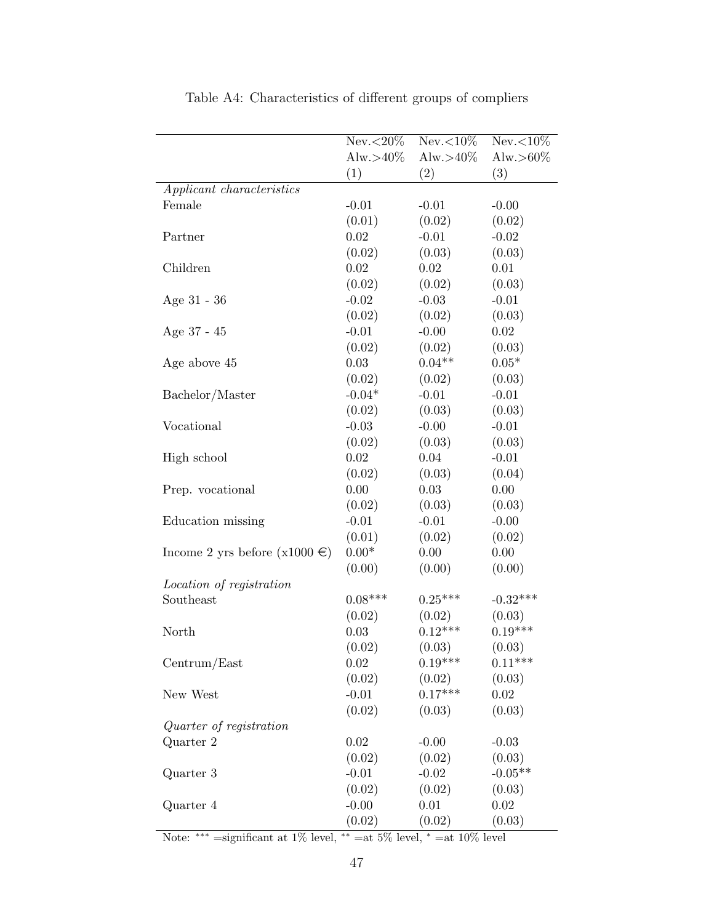<span id="page-48-0"></span>

|                                   | $Nev. < 20\%$ | $Nev.<10\%$  | $Nev.<10\%$  |
|-----------------------------------|---------------|--------------|--------------|
|                                   | Alw. $>40\%$  | Alw. $>40\%$ | Alw. $>60\%$ |
|                                   | (1)           | (2)          | (3)          |
| Applicant characteristics         |               |              |              |
| Female                            | $-0.01$       | $-0.01$      | $-0.00$      |
|                                   | (0.01)        | (0.02)       | (0.02)       |
| Partner                           | 0.02          | $-0.01$      | $-0.02$      |
|                                   | (0.02)        | (0.03)       | (0.03)       |
| Children                          | 0.02          | 0.02         | 0.01         |
|                                   | (0.02)        | (0.02)       | (0.03)       |
| Age 31 - $36$                     | $-0.02$       | $-0.03$      | $-0.01$      |
|                                   | (0.02)        | (0.02)       | (0.03)       |
| Age 37 - 45                       | $-0.01$       | $-0.00$      | 0.02         |
|                                   | (0.02)        | (0.02)       | (0.03)       |
| Age above 45                      | 0.03          | $0.04**$     | $0.05*$      |
|                                   | (0.02)        | (0.02)       | (0.03)       |
| Bachelor/Master                   | $-0.04*$      | $-0.01$      | $-0.01$      |
|                                   | (0.02)        | (0.03)       | (0.03)       |
| Vocational                        | $-0.03$       | $-0.00$      | $-0.01$      |
|                                   | (0.02)        | (0.03)       | (0.03)       |
| High school                       | 0.02          | 0.04         | $-0.01$      |
|                                   | (0.02)        | (0.03)       | (0.04)       |
| Prep. vocational                  | 0.00          | 0.03         | 0.00         |
|                                   | (0.02)        | (0.03)       | (0.03)       |
| Education missing                 | $-0.01$       | $-0.01$      | $-0.00$      |
|                                   | (0.01)        | (0.02)       | (0.02)       |
| Income 2 yrs before $(x1000 \in)$ | $0.00*$       | 0.00         | 0.00         |
|                                   | (0.00)        | (0.00)       | (0.00)       |
| Location of registration          |               |              |              |
| Southeast                         | $0.08***$     | $0.25***$    | $-0.32***$   |
|                                   | (0.02)        | (0.02)       | (0.03)       |
| North                             | 0.03          | $0.12***$    | $0.19***$    |
|                                   | (0.02)        | (0.03)       | (0.03)       |
| Centrum/East                      | 0.02          | $0.19***$    | $0.11***$    |
|                                   | (0.02)        | (0.02)       | (0.03)       |
| New West                          | $-0.01$       | $0.17***$    | 0.02         |
|                                   | (0.02)        | (0.03)       | (0.03)       |
| Quarter of registration           |               |              |              |
| Quarter 2                         | 0.02          | $-0.00$      | $-0.03$      |
|                                   | (0.02)        | (0.02)       | (0.03)       |
| Quarter 3                         | $-0.01$       | $-0.02$      | $-0.05**$    |
|                                   | (0.02)        | (0.02)       | (0.03)       |
| Quarter 4                         | $-0.00$       | 0.01         | 0.02         |
|                                   | (0.02)        | (0.02)       | (0.03)       |

Table A4: Characteristics of different groups of compliers

Note: ∗∗∗ =significant at 1% level, ∗∗ =at 5% level, <sup>∗</sup> =at 10% level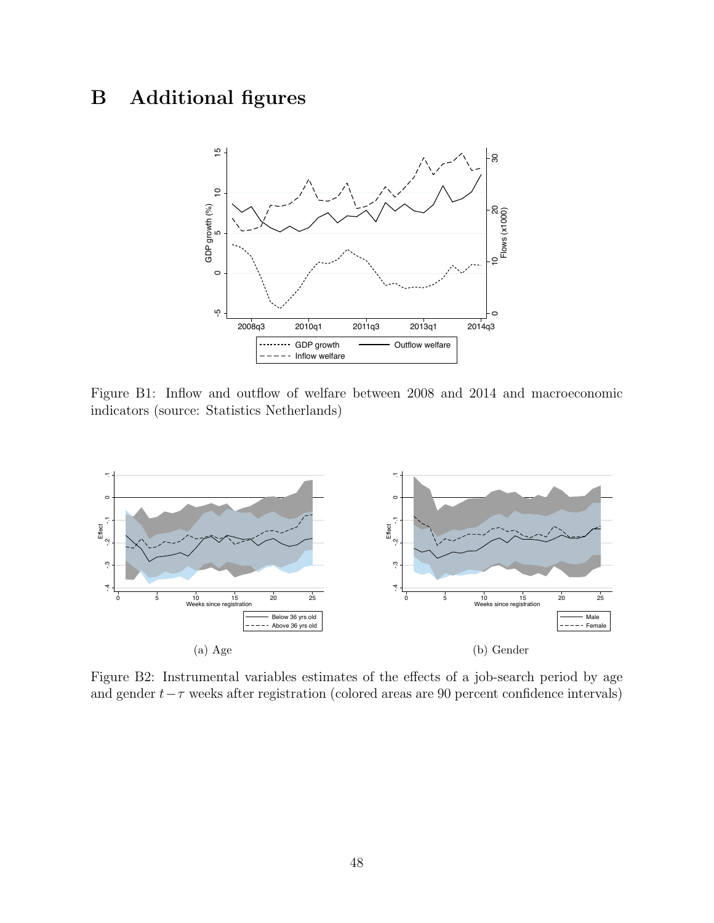# <span id="page-49-0"></span>B Additional figures



Figure B1: Inflow and outflow of welfare between 2008 and 2014 and macroeconomic indicators (source: Statistics Netherlands)

<span id="page-49-1"></span>

Figure B2: Instrumental variables estimates of the effects of a job-search period by age and gender  $t-\tau$  weeks after registration (colored areas are 90 percent confidence intervals)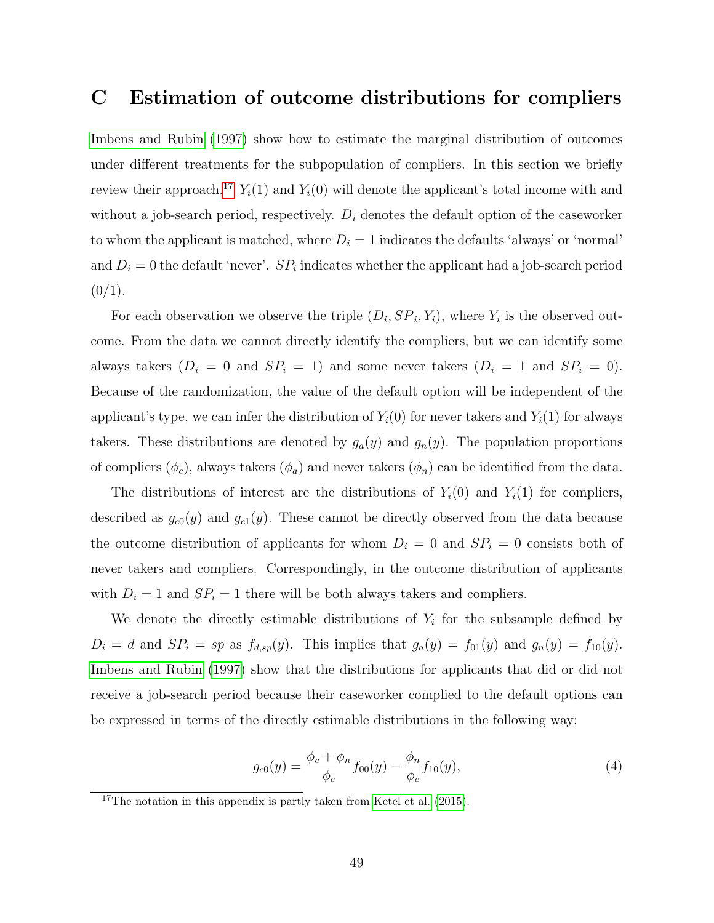## <span id="page-50-0"></span>C Estimation of outcome distributions for compliers

[Imbens and Rubin](#page-43-7) [\(1997\)](#page-43-7) show how to estimate the marginal distribution of outcomes under different treatments for the subpopulation of compliers. In this section we briefly review their approach.<sup>[17](#page--1-0)</sup>  $Y_i(1)$  and  $Y_i(0)$  will denote the applicant's total income with and without a job-search period, respectively.  $D_i$  denotes the default option of the caseworker to whom the applicant is matched, where  $D_i = 1$  indicates the defaults 'always' or 'normal' and  $D_i = 0$  the default 'never'.  $SP_i$  indicates whether the applicant had a job-search period  $(0/1).$ 

For each observation we observe the triple  $(D_i, SP_i, Y_i)$ , where  $Y_i$  is the observed outcome. From the data we cannot directly identify the compliers, but we can identify some always takers  $(D_i = 0 \text{ and } SP_i = 1)$  and some never takers  $(D_i = 1 \text{ and } SP_i = 0)$ . Because of the randomization, the value of the default option will be independent of the applicant's type, we can infer the distribution of  $Y_i(0)$  for never takers and  $Y_i(1)$  for always takers. These distributions are denoted by  $g_a(y)$  and  $g_n(y)$ . The population proportions of compliers  $(\phi_c)$ , always takers  $(\phi_a)$  and never takers  $(\phi_n)$  can be identified from the data.

The distributions of interest are the distributions of  $Y_i(0)$  and  $Y_i(1)$  for compliers, described as  $g_{c0}(y)$  and  $g_{c1}(y)$ . These cannot be directly observed from the data because the outcome distribution of applicants for whom  $D_i = 0$  and  $SP_i = 0$  consists both of never takers and compliers. Correspondingly, in the outcome distribution of applicants with  $D_i = 1$  and  $SP_i = 1$  there will be both always takers and compliers.

We denote the directly estimable distributions of  $Y_i$  for the subsample defined by  $D_i = d$  and  $SP_i = sp$  as  $f_{d,sp}(y)$ . This implies that  $g_a(y) = f_{01}(y)$  and  $g_n(y) = f_{10}(y)$ . [Imbens and Rubin](#page-43-7) [\(1997\)](#page-43-7) show that the distributions for applicants that did or did not receive a job-search period because their caseworker complied to the default options can be expressed in terms of the directly estimable distributions in the following way:

$$
g_{c0}(y) = \frac{\phi_c + \phi_n}{\phi_c} f_{00}(y) - \frac{\phi_n}{\phi_c} f_{10}(y), \tag{4}
$$

 $17$ The notation in this appendix is partly taken from [Ketel et al.](#page-43-9) [\(2015\)](#page-43-9).